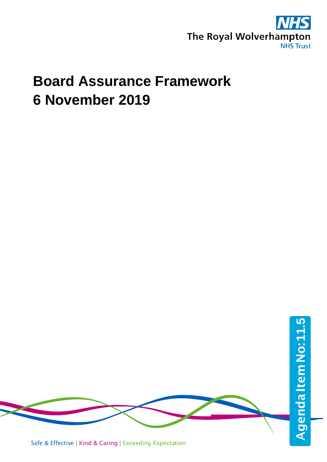

# **Board Assurance Framework 6 November 2019**

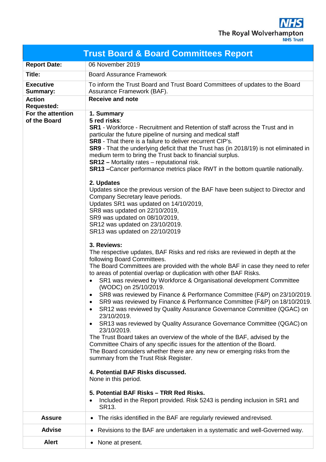**NHS** The Royal Wolverhampton

| <b>Trust Board &amp; Board Committees Report</b> |                                                                                                                                                                                                                                                                                                                                                                                                                                                                                                                                                                                                                                                                                                                                                                                                                                                                                                                                                                                                                                                                                                                                                                                                                                                                                                                                                                                                                                                                                                                                                                                                                                                                                                                                                                                                                                                                                                                                                                                                                                                                                                                                            |  |  |  |  |  |
|--------------------------------------------------|--------------------------------------------------------------------------------------------------------------------------------------------------------------------------------------------------------------------------------------------------------------------------------------------------------------------------------------------------------------------------------------------------------------------------------------------------------------------------------------------------------------------------------------------------------------------------------------------------------------------------------------------------------------------------------------------------------------------------------------------------------------------------------------------------------------------------------------------------------------------------------------------------------------------------------------------------------------------------------------------------------------------------------------------------------------------------------------------------------------------------------------------------------------------------------------------------------------------------------------------------------------------------------------------------------------------------------------------------------------------------------------------------------------------------------------------------------------------------------------------------------------------------------------------------------------------------------------------------------------------------------------------------------------------------------------------------------------------------------------------------------------------------------------------------------------------------------------------------------------------------------------------------------------------------------------------------------------------------------------------------------------------------------------------------------------------------------------------------------------------------------------------|--|--|--|--|--|
| <b>Report Date:</b>                              | 06 November 2019                                                                                                                                                                                                                                                                                                                                                                                                                                                                                                                                                                                                                                                                                                                                                                                                                                                                                                                                                                                                                                                                                                                                                                                                                                                                                                                                                                                                                                                                                                                                                                                                                                                                                                                                                                                                                                                                                                                                                                                                                                                                                                                           |  |  |  |  |  |
| Title:                                           | <b>Board Assurance Framework</b>                                                                                                                                                                                                                                                                                                                                                                                                                                                                                                                                                                                                                                                                                                                                                                                                                                                                                                                                                                                                                                                                                                                                                                                                                                                                                                                                                                                                                                                                                                                                                                                                                                                                                                                                                                                                                                                                                                                                                                                                                                                                                                           |  |  |  |  |  |
| <b>Executive</b><br><b>Summary:</b>              | To inform the Trust Board and Trust Board Committees of updates to the Board<br>Assurance Framework (BAF).                                                                                                                                                                                                                                                                                                                                                                                                                                                                                                                                                                                                                                                                                                                                                                                                                                                                                                                                                                                                                                                                                                                                                                                                                                                                                                                                                                                                                                                                                                                                                                                                                                                                                                                                                                                                                                                                                                                                                                                                                                 |  |  |  |  |  |
| <b>Action</b><br><b>Requested:</b>               | <b>Receive and note</b>                                                                                                                                                                                                                                                                                                                                                                                                                                                                                                                                                                                                                                                                                                                                                                                                                                                                                                                                                                                                                                                                                                                                                                                                                                                                                                                                                                                                                                                                                                                                                                                                                                                                                                                                                                                                                                                                                                                                                                                                                                                                                                                    |  |  |  |  |  |
| For the attention<br>of the Board                | 1. Summary<br>5 red risks:<br><b>SR1</b> - Workforce - Recruitment and Retention of staff across the Trust and in<br>particular the future pipeline of nursing and medical staff<br><b>SR8</b> - That there is a failure to deliver recurrent CIP's.<br>SR9 - That the underlying deficit that the Trust has (in 2018/19) is not eliminated in<br>medium term to bring the Trust back to financial surplus.<br><b>SR12</b> - Mortality rates - reputational risk.<br><b>SR13</b> – Cancer performance metrics place RWT in the bottom quartile nationally.<br>2. Updates<br>Updates since the previous version of the BAF have been subject to Director and<br>Company Secretary leave periods.<br>Updates SR1 was updated on 14/10/2019,<br>SR8 was updated on 22/10/2019,<br>SR9 was updated on 08/10/2019,<br>SR12 was updated on 23/10/2019.<br>SR13 was updated on 22/10/2019<br>3. Reviews:<br>The respective updates, BAF Risks and red risks are reviewed in depth at the<br>following Board Committees.<br>The Board Committees are provided with the whole BAF in case they need to refer<br>to areas of potential overlap or duplication with other BAF Risks.<br>SR1 was reviewed by Workforce & Organisational development Committee<br>(WODC) on 25/10/2019.<br>SR8 was reviewed by Finance & Performance Committee (F&P) on 23/10/2019.<br>$\bullet$<br>SR9 was reviewed by Finance & Performance Committee (F&P) on 18/10/2019.<br>٠<br>SR12 was reviewed by Quality Assurance Governance Committee (QGAC) on<br>$\bullet$<br>23/10/2019.<br>SR13 was reviewed by Quality Assurance Governance Committee (QGAC) on<br>$\bullet$<br>23/10/2019.<br>The Trust Board takes an overview of the whole of the BAF, advised by the<br>Committee Chairs of any specific issues for the attention of the Board.<br>The Board considers whether there are any new or emerging risks from the<br>summary from the Trust Risk Register.<br>4. Potential BAF Risks discussed.<br>None in this period.<br>5. Potential BAF Risks - TRR Red Risks.<br>Included in the Report provided. Risk 5243 is pending inclusion in SR1 and<br>SR13. |  |  |  |  |  |
| <b>Assure</b>                                    | The risks identified in the BAF are regularly reviewed and revised.                                                                                                                                                                                                                                                                                                                                                                                                                                                                                                                                                                                                                                                                                                                                                                                                                                                                                                                                                                                                                                                                                                                                                                                                                                                                                                                                                                                                                                                                                                                                                                                                                                                                                                                                                                                                                                                                                                                                                                                                                                                                        |  |  |  |  |  |
| <b>Advise</b>                                    | Revisions to the BAF are undertaken in a systematic and well-Governed way.                                                                                                                                                                                                                                                                                                                                                                                                                                                                                                                                                                                                                                                                                                                                                                                                                                                                                                                                                                                                                                                                                                                                                                                                                                                                                                                                                                                                                                                                                                                                                                                                                                                                                                                                                                                                                                                                                                                                                                                                                                                                 |  |  |  |  |  |
| <b>Alert</b>                                     | None at present.                                                                                                                                                                                                                                                                                                                                                                                                                                                                                                                                                                                                                                                                                                                                                                                                                                                                                                                                                                                                                                                                                                                                                                                                                                                                                                                                                                                                                                                                                                                                                                                                                                                                                                                                                                                                                                                                                                                                                                                                                                                                                                                           |  |  |  |  |  |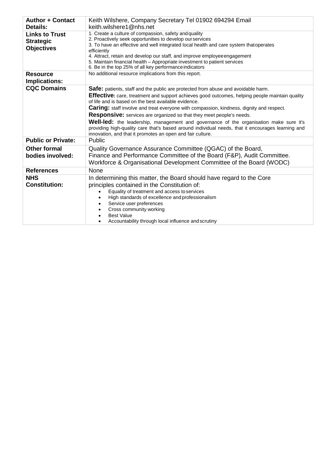| <b>Author + Contact</b><br><b>Details:</b>                     | Keith Wilshere, Company Secretary Tel 01902 694294 Email<br>keith.wilshere1@nhs.net                                                                                                                                                                                                                                                                                                                                                                                                                                                                                                                                                                                                               |
|----------------------------------------------------------------|---------------------------------------------------------------------------------------------------------------------------------------------------------------------------------------------------------------------------------------------------------------------------------------------------------------------------------------------------------------------------------------------------------------------------------------------------------------------------------------------------------------------------------------------------------------------------------------------------------------------------------------------------------------------------------------------------|
| <b>Links to Trust</b><br><b>Strategic</b><br><b>Objectives</b> | 1. Create a culture of compassion, safety and quality<br>2. Proactively seek opportunities to develop our services<br>3. To have an effective and well integrated local health and care system thatoperates<br>efficiently<br>4. Attract, retain and develop our staff, and improve employee engagement<br>5. Maintain financial health - Appropriate investment to patient services<br>6. Be in the top 25% of all key performance indicators                                                                                                                                                                                                                                                    |
| <b>Resource</b><br>Implications:                               | No additional resource implications from this report.                                                                                                                                                                                                                                                                                                                                                                                                                                                                                                                                                                                                                                             |
| <b>CQC Domains</b>                                             | Safe: patients, staff and the public are protected from abuse and avoidable harm.<br><b>Effective:</b> care, treatment and support achieves good outcomes, helping people maintain quality<br>of life and is based on the best available evidence.<br><b>Caring:</b> staff involve and treat everyone with compassion, kindness, dignity and respect.<br>Responsive: services are organized so that they meet people's needs.<br><b>Well-led:</b> the leadership, management and governance of the organisation make sure it's<br>providing high-quality care that's based around individual needs, that it encourages learning and<br>innovation, and that it promotes an open and fair culture. |
| <b>Public or Private:</b>                                      | Public                                                                                                                                                                                                                                                                                                                                                                                                                                                                                                                                                                                                                                                                                            |
| <b>Other formal</b><br>bodies involved:                        | Quality Governance Assurance Committee (QGAC) of the Board,<br>Finance and Performance Committee of the Board (F&P), Audit Committee.<br>Workforce & Organisational Development Committee of the Board (WODC)                                                                                                                                                                                                                                                                                                                                                                                                                                                                                     |
| <b>References</b>                                              | None                                                                                                                                                                                                                                                                                                                                                                                                                                                                                                                                                                                                                                                                                              |
| <b>NHS</b><br><b>Constitution:</b>                             | In determining this matter, the Board should have regard to the Core<br>principles contained in the Constitution of:<br>Equality of treatment and access to services<br>High standards of excellence and professionalism<br>Service user preferences<br>Cross community working<br><b>Best Value</b><br>Accountability through local influence and scrutiny                                                                                                                                                                                                                                                                                                                                       |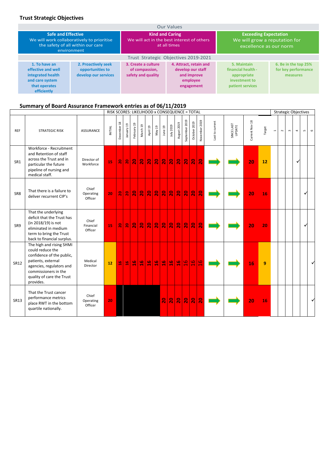# **Trust Strategic Objectives**

| <b>Our Values</b>                                                                                           |                                                                                                |                                                             |                                                                                      |                                                                                         |                                                         |  |  |  |
|-------------------------------------------------------------------------------------------------------------|------------------------------------------------------------------------------------------------|-------------------------------------------------------------|--------------------------------------------------------------------------------------|-----------------------------------------------------------------------------------------|---------------------------------------------------------|--|--|--|
| <b>Safe and Effective</b>                                                                                   | We will work collaboratively to prioritise<br>the safety of all within our care<br>environment | <b>Kind and Caring</b>                                      | We will act in the best interest of others<br>at all times                           | <b>Exceeding Expectation</b><br>We will grow a reputation for<br>excellence as our norm |                                                         |  |  |  |
|                                                                                                             |                                                                                                |                                                             | Trust Strategic Objectives 2019-2021                                                 |                                                                                         |                                                         |  |  |  |
| 1. To have an<br>effective and well<br>integrated health<br>and care system<br>that operates<br>efficiently | 2. Proactively seek<br>opportunities to<br>develop our services                                | 3. Create a culture<br>of compassion,<br>safety and quality | 4. Attract, retain and<br>develop our staff<br>and improve<br>employee<br>engagement | 5. Maintain<br>financial health -<br>appropriate<br>investment to<br>patient services   | 6. Be in the top 25%<br>for key performance<br>measures |  |  |  |

# **Summary of Board Assurance Framework entries as of 06/11/2019**

|                 |                                                                                                                                                                                               |                               | RISK SCORES: LIKELIHOOD x CONSEQUENCE = TOTAL |                |                |                         |               |                         |                |                          |                 |                             |                         |                         |                         |                 |                      |                |        |                          |        |           | <b>Strategic Objectives</b> |                  |         |
|-----------------|-----------------------------------------------------------------------------------------------------------------------------------------------------------------------------------------------|-------------------------------|-----------------------------------------------|----------------|----------------|-------------------------|---------------|-------------------------|----------------|--------------------------|-----------------|-----------------------------|-------------------------|-------------------------|-------------------------|-----------------|----------------------|----------------|--------|--------------------------|--------|-----------|-----------------------------|------------------|---------|
| <b>REF</b>      | <b>STRATEGIC RISK</b>                                                                                                                                                                         | <b>ASSURANCE</b>              | INITIAL                                       | December 18    | 1anuary 19     | February 19             | March 19      | April 19                | May 19         | June 19                  | July 2019       | August 2019                 | September 2019          | October 2019            | November 2019           | Last to current | SINCE LAST<br>UPDATE | Current Nov 18 | Target | $\overline{\phantom{0}}$ | $\sim$ | $\,$ $\,$ | 4                           | $\mathsf{L}\cap$ | $\circ$ |
| SR1             | Workforce - Recruitment<br>and Retention of staff<br>across the Trust and in<br>particular the future<br>pipeline of nursing and<br>medical staff.                                            | Director of<br>Workforce      | 15                                            | ន              | $\mathbf{a}$   | $\mathbf{S}$            | $\mathbf{a}$  | $\mathbf{S}$            | $\frac{1}{2}$  | $\overline{\mathbf{20}}$ | $\mathbf{a}$    | $\mathbf{S}$                | $\overline{\mathbf{S}}$ | $\overline{\mathbf{S}}$ | $\overline{2}$          |                 |                      | 20             | 12     |                          |        |           | ٧                           |                  |         |
| SR <sub>8</sub> | That there is a failure to<br>deliver recurrent CIP's                                                                                                                                         | Chief<br>Operating<br>Officer | 20                                            | $\mathbf{a}$   | $\overline{a}$ | $\overline{\mathbf{S}}$ | $\mathbf{S}$  | $\overline{\mathbf{S}}$ | $\mathbf{S}$   | $\overline{\mathbf{a}}$  | $\mathbf{S}$    | $\mathbf{S}$                | $\overline{\mathbf{S}}$ | $\overline{\mathbf{S}}$ | $\overline{\mathbf{c}}$ |                 |                      | 20             | 16     |                          |        |           |                             |                  |         |
| SR9             | That the underlying<br>deficit that the Trust has<br>(in 2018/19) is not<br>eliminated in medium<br>term to bring the Trust<br>back to financial surplus.                                     | Chief<br>Financial<br>Officer | 15                                            | $\frac{1}{2}$  | $\mathbf{a}$   | $\mathbf{R}$            | $\mathbf{S}$  | $\mathbf{a}$            | $\vert$        | $\mathbf{S}$             | $\mathbf{a}$    | $\mathbf{S}$                | $\mathbf{S}$            | $\overline{20}$         | $\overline{a}$          |                 |                      | 20             | 20     |                          |        |           |                             |                  |         |
| SR12            | The high and rising SHMI<br>could reduce the<br>confidence of the public,<br>patients, external<br>agencies, regulators and<br>commissioners in the<br>quality of care the Trust<br>provides. | Medical<br>Director           | 12                                            | $\frac{9}{11}$ | $\frac{1}{11}$ | $\frac{1}{2}$           | $\frac{6}{1}$ | $\frac{6}{11}$          | $\frac{6}{11}$ | $\frac{1}{1}$            | $\frac{9}{16}$  | $\bullet$<br>$\blacksquare$ | $\frac{91}{2}$          | $\overline{a}$          | $\frac{21}{10}$         |                 |                      | 16             | 9      |                          |        |           |                             |                  |         |
| <b>SR13</b>     | That the Trust cancer<br>performance metrics<br>place RWT in the bottom<br>quartile nationally.                                                                                               | Chief<br>Operating<br>Officer | 20                                            |                |                |                         |               |                         |                | $\overline{20}$          | $\overline{20}$ | $\overline{20}$             | $\overline{\mathbf{S}}$ | $\overline{20}$         | $\overline{a}$          |                 |                      | 20             | 16     |                          |        |           |                             |                  |         |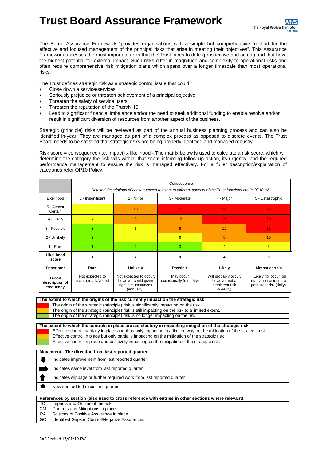**Trust Board Assurance Framework**

The Board Assurance Framework "provides organisations with a simple but comprehensive method for the effective and focused management of the principal risks that arise in meeting their objectives". This Assurance Framework assesses the most important risks that the Trust faces to date (prospective and actual) and that have the highest potential for external impact. Such risks differ in magnitude and complexity to operational risks and often require comprehensive risk mitigation plans which spans over a longer timescale than most operational risks.

The Trust defines strategic risk as a strategic control issue that could:

- Close down a service/services
- Seriously prejudice or threaten achievement of a principal objective
- Threaten the safety of service users.
- Threaten the reputation of the Trust/NHS.
- Lead to significant financial imbalance and/or the need to seek additional funding to enable resolve and/or result in significant diversion of resources from another aspect of the business.

Strategic (principle) risks will be reviewed as part of the annual business planning process and can also be identified in-year. They are managed as part of a complex process as opposed to discrete events. The Trust Board needs to be satisfied that strategic risks are being properly identified and managed robustly.

Risk score = consequence (i.e. impact) x likelihood - The matrix below is used to calculate a risk score, which will determine the category the risk falls within, that score informing follow up action, its urgency, and the required performance management to ensure the risk is managed effectively. For a fuller description/explanation of categories refer OP10 Policy.

|                                             | Consequence                                                                                                |                                                                                     |                                     |                                                                      |                                                                    |  |  |  |  |
|---------------------------------------------|------------------------------------------------------------------------------------------------------------|-------------------------------------------------------------------------------------|-------------------------------------|----------------------------------------------------------------------|--------------------------------------------------------------------|--|--|--|--|
|                                             | Detailed descriptions of consequences relevant to different aspects of the Trust functions are in OP10 p21 |                                                                                     |                                     |                                                                      |                                                                    |  |  |  |  |
| Likelihood                                  | 1 - Insignificant                                                                                          | 2 - Minor                                                                           | 3 - Moderate                        | 4 - Major                                                            | 5 - Catastrophic                                                   |  |  |  |  |
| 5 - Almost<br>Certain                       | 5                                                                                                          | 10                                                                                  | 15                                  | 20                                                                   | 25                                                                 |  |  |  |  |
| 4 - Likely                                  | $\overline{4}$                                                                                             | 8                                                                                   | 12                                  | 16                                                                   | 20                                                                 |  |  |  |  |
| 3 - Possible                                | 3                                                                                                          | 6                                                                                   | 9                                   | 12                                                                   | 15                                                                 |  |  |  |  |
| 2 - Unlikely                                | $\overline{2}$                                                                                             | 4                                                                                   | $6\overline{6}$                     | 8                                                                    | 10                                                                 |  |  |  |  |
| 1 - Rare                                    |                                                                                                            | $\overline{2}$                                                                      | 3                                   | $\overline{4}$                                                       | 5                                                                  |  |  |  |  |
| Likelihood<br>score                         | 1                                                                                                          | $\mathbf{2}$                                                                        | 3                                   | 4                                                                    | 5                                                                  |  |  |  |  |
| <b>Descriptor</b>                           | Rare                                                                                                       | Unlikely                                                                            | <b>Possible</b>                     | Likely                                                               | Almost certain                                                     |  |  |  |  |
| <b>Broad</b><br>description of<br>frequency | Not expected to<br>occur (yearly/years)                                                                    | Not expected to occur,<br>however could given<br>right circumstances<br>(annually). | May occur<br>occasionally (monthly) | Will probably occur,<br>however not a<br>persistent risk<br>(weekly) | Likely to occur on<br>many occasions; a<br>persistent risk (daily) |  |  |  |  |

| The extent to which the origins of the risk currently impact on the strategic risk. |  |  |  |
|-------------------------------------------------------------------------------------|--|--|--|
|-------------------------------------------------------------------------------------|--|--|--|

The origin of the strategic (principle) risk is significantly impacting on the risk.

The origin of the strategic (principle) risk is still impacting on the risk to a limited extent.

The origin of the strategic (principle) risk is no longer impacting on the risk

**The extent to which the controls in place are satisfactory in impacting mitigation of the strategic risk.** Effective control partially in place and thus only impacting in a limited way on the mitigation of the strategic risk. Effective control in place but only partially impacting on the mitigation of the strategic risk Effective control in place and positively impacting on the mitigation of the strategic risk.

#### **Movement - The direction from last reported quarter**

| Indicates improvement from last reported quarter                       |
|------------------------------------------------------------------------|
| Indicates same level from last reported quarter                        |
| Indicates slippage or further required work from last reported quarter |
| New item added since last quarter                                      |

|           | References by section (also used to cross reference with entries in other sections where relevant) |  |  |  |  |  |
|-----------|----------------------------------------------------------------------------------------------------|--|--|--|--|--|
| IC.       | Impacts and Origins of the risk                                                                    |  |  |  |  |  |
| CM        | Controls and Mitigations in place                                                                  |  |  |  |  |  |
| <b>PA</b> | Sources of Positive Assurance in place                                                             |  |  |  |  |  |
| GC        | Identified Gaps in Control/Negative Assurances                                                     |  |  |  |  |  |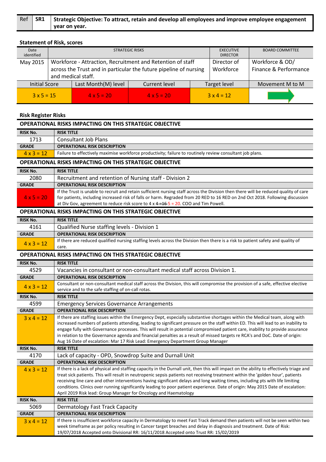|  | Ref SR1 Strategic Objective: To attract, retain and develop all employees and improve employee engagement |
|--|-----------------------------------------------------------------------------------------------------------|
|  | vear on year.                                                                                             |

# **Statement of Risk, scores**

| Date<br>identified |                                                                              | <b>STRATEGIC RISKS</b>                                                                                                                                | <b>BOARD COMMITTEE</b>                   |                   |  |                 |
|--------------------|------------------------------------------------------------------------------|-------------------------------------------------------------------------------------------------------------------------------------------------------|------------------------------------------|-------------------|--|-----------------|
| May 2015           |                                                                              | Workforce - Attraction, Recruitment and Retention of staff<br>across the Trust and in particular the future pipeline of nursing<br>and medical staff. | Workforce & OD/<br>Finance & Performance |                   |  |                 |
|                    | Last Month(M) level<br><b>Initial Score</b><br>Current level<br>Target level |                                                                                                                                                       |                                          |                   |  | Movement M to M |
| $3 \times 5 = 15$  | $4 \times 5 = 20$                                                            |                                                                                                                                                       | $4 \times 5 = 20$                        | $3 \times 4 = 12$ |  |                 |

# **Risk Register Risks**

|                   | <b>OPERATIONAL RISKS IMPACTING ON THIS STRATEGIC OBJECTIVE</b>                                                                                                                                                                                                                                                                                                                                                                                                                                                                                                                                                          |
|-------------------|-------------------------------------------------------------------------------------------------------------------------------------------------------------------------------------------------------------------------------------------------------------------------------------------------------------------------------------------------------------------------------------------------------------------------------------------------------------------------------------------------------------------------------------------------------------------------------------------------------------------------|
| <b>RISK No.</b>   | <b>RISK TITLE</b>                                                                                                                                                                                                                                                                                                                                                                                                                                                                                                                                                                                                       |
| 1713              | <b>Consultant Job Plans</b>                                                                                                                                                                                                                                                                                                                                                                                                                                                                                                                                                                                             |
| <b>GRADE</b>      | <b>OPERATIONAL RISK DESCRIPTION</b>                                                                                                                                                                                                                                                                                                                                                                                                                                                                                                                                                                                     |
| $4 \times 3 = 12$ | Failure to effectively maximise workforce productivity; failure to routinely review consultant job plans.                                                                                                                                                                                                                                                                                                                                                                                                                                                                                                               |
|                   | <b>OPERATIONAL RISKS IMPACTING ON THIS STRATEGIC OBJECTIVE</b>                                                                                                                                                                                                                                                                                                                                                                                                                                                                                                                                                          |
| <b>RISK No.</b>   | <b>RISK TITLE</b>                                                                                                                                                                                                                                                                                                                                                                                                                                                                                                                                                                                                       |
| 2080              | Recruitment and retention of Nursing staff - Division 2                                                                                                                                                                                                                                                                                                                                                                                                                                                                                                                                                                 |
| <b>GRADE</b>      | <b>OPERATIONAL RISK DESCRIPTION</b>                                                                                                                                                                                                                                                                                                                                                                                                                                                                                                                                                                                     |
| $4 \times 5 = 20$ | If the Trust is unable to recruit and retain sufficient nursing staff across the Division then there will be reduced quality of care<br>for patients, including increased risk of falls or harm. Regraded from 20 RED to 16 RED on 2nd Oct 2018. Following discussion<br>at Div Gov, agreement to reduce risk score to $4 \times 4 = 16.5 = 20$ . COO and Tim Powell.                                                                                                                                                                                                                                                   |
|                   | <b>OPERATIONAL RISKS IMPACTING ON THIS STRATEGIC OBJECTIVE</b>                                                                                                                                                                                                                                                                                                                                                                                                                                                                                                                                                          |
| <b>RISK No.</b>   | <b>RISK TITLE</b>                                                                                                                                                                                                                                                                                                                                                                                                                                                                                                                                                                                                       |
| 4161              | Qualified Nurse staffing levels - Division 1                                                                                                                                                                                                                                                                                                                                                                                                                                                                                                                                                                            |
| <b>GRADE</b>      | <b>OPERATIONAL RISK DESCRIPTION</b>                                                                                                                                                                                                                                                                                                                                                                                                                                                                                                                                                                                     |
| $4 \times 3 = 12$ | If there are reduced qualified nursing staffing levels across the Division then there is a risk to patient safety and quality of<br>care.                                                                                                                                                                                                                                                                                                                                                                                                                                                                               |
|                   | <b>OPERATIONAL RISKS IMPACTING ON THIS STRATEGIC OBJECTIVE</b>                                                                                                                                                                                                                                                                                                                                                                                                                                                                                                                                                          |
| <b>RISK No.</b>   | <b>RISK TITLE</b>                                                                                                                                                                                                                                                                                                                                                                                                                                                                                                                                                                                                       |
| 4529              | Vacancies in consultant or non-consultant medical staff across Division 1.                                                                                                                                                                                                                                                                                                                                                                                                                                                                                                                                              |
| <b>GRADE</b>      | <b>OPERATIONAL RISK DESCRIPTION</b>                                                                                                                                                                                                                                                                                                                                                                                                                                                                                                                                                                                     |
| $4 \times 3 = 12$ | Consultant or non-consultant medical staff across the Division, this will compromise the provision of a safe, effective elective<br>service and to the safe staffing of on-call rotas.                                                                                                                                                                                                                                                                                                                                                                                                                                  |
| <b>RISK No.</b>   | <b>RISK TITLE</b>                                                                                                                                                                                                                                                                                                                                                                                                                                                                                                                                                                                                       |
| 4599              | <b>Emergency Services Governance Arrangements</b>                                                                                                                                                                                                                                                                                                                                                                                                                                                                                                                                                                       |
| <b>GRADE</b>      | <b>OPERATIONAL RISK DESCRIPTION</b>                                                                                                                                                                                                                                                                                                                                                                                                                                                                                                                                                                                     |
| $3x 4 = 12$       | If there are staffing issues within the Emergency Dept, especially substantive shortages within the Medical team, along with<br>increased numbers of patients attending, leading to significant pressure on the staff within ED. This will lead to an inability to<br>engage fully with Governance processes. This will result in potential compromised patient care, inability to provide assurance<br>in relation to the Governance agenda and financial penalties as a result of missed targets re RCA's and DoC. Date of origin:<br>Aug 16 Date of escalation: Mar 17 Risk Lead: Emergency Department Group Manager |
| <b>RISK No.</b>   | <b>RISK TITLE</b>                                                                                                                                                                                                                                                                                                                                                                                                                                                                                                                                                                                                       |
| 4170              | Lack of capacity - OPD, Snowdrop Suite and Durnall Unit                                                                                                                                                                                                                                                                                                                                                                                                                                                                                                                                                                 |
| <b>GRADE</b>      | <b>OPERATIONAL RISK DESCRIPTION</b>                                                                                                                                                                                                                                                                                                                                                                                                                                                                                                                                                                                     |
| $4 \times 3 = 12$ | If there is a lack of physical and staffing capacity in the Durnall unit, then this will impact on the ability to effectively triage and<br>treat sick patients. This will result in neutropenic sepsis patients not receiving treatment within the 'golden hour', patients<br>receiving line care and other interventions having significant delays and long waiting times, including pts with life limiting<br>conditions. Clinics over running significantly leading to poor patient experience. Date of origin: May 2015 Date of escalation:<br>April 2019 Risk lead: Group Manager for Oncology and Haematology    |
| <b>RISK No.</b>   | <b>RISK TITLE</b>                                                                                                                                                                                                                                                                                                                                                                                                                                                                                                                                                                                                       |
| 5069              | <b>Dermatology Fast Track Capacity</b>                                                                                                                                                                                                                                                                                                                                                                                                                                                                                                                                                                                  |
| <b>GRADE</b>      | <b>OPERATIONAL RISK DESCRIPTION</b>                                                                                                                                                                                                                                                                                                                                                                                                                                                                                                                                                                                     |
| $3x 4 = 12$       | If there is insufficient workforce capacity in Dermatology to meet Fast Track demand then patients will not be seen within two<br>week timeframe as per policy resulting in Cancer target breaches and delay in diagnosis and treatment. Date of Risk:<br>19/07/2018 Accepted onto Divisional RR: 16/11/2018 Accepted onto Trust RR: 15/02/2019                                                                                                                                                                                                                                                                         |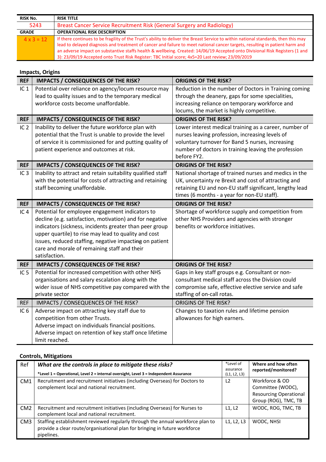| RISK No.          | <b>RISK TITLE</b>                                                                                                                                                                                                                                                                                                                                                                                                                                                                                        |
|-------------------|----------------------------------------------------------------------------------------------------------------------------------------------------------------------------------------------------------------------------------------------------------------------------------------------------------------------------------------------------------------------------------------------------------------------------------------------------------------------------------------------------------|
| 5243              | Breast Cancer Service Recruitment Risk (General Surgery and Radiology)                                                                                                                                                                                                                                                                                                                                                                                                                                   |
| <b>GRADE</b>      | <b>OPERATIONAL RISK DESCRIPTION</b>                                                                                                                                                                                                                                                                                                                                                                                                                                                                      |
| $4 \times 3 = 12$ | If there continues to be fragility of the Trust's ability to deliver the Breast Service to within national standards, then this may<br>lead to delayed diagnosis and treatment of cancer and failure to meet national cancer targets, resulting in patient harm and<br>an adverse impact on substantive staffs health & wellbeing. Created: 14/06/19 Accepted onto Divisional Risk Registers (1 and<br>3): 23/09/19 Accepted onto Trust Risk Register: TBC Initial score; 4x5=20 Last review; 23/09/2019 |

# **Impacts, Origins**

| <b>REF</b>      | <b>IMPACTS / CONSEQUENCES OF THE RISK?</b>                               | <b>ORIGINS OF THE RISK?</b>                                                                 |
|-----------------|--------------------------------------------------------------------------|---------------------------------------------------------------------------------------------|
| IC <sub>1</sub> | Potential over reliance on agency/locum resource may                     | Reduction in the number of Doctors in Training coming                                       |
|                 | lead to quality issues and to the temporary medical                      | through the deanery, gaps for some specialities,                                            |
|                 | workforce costs become unaffordable.                                     | increasing reliance on temporary workforce and<br>locums, the market is highly competitive. |
|                 |                                                                          |                                                                                             |
| <b>REF</b>      | <b>IMPACTS / CONSEQUENCES OF THE RISK?</b>                               | <b>ORIGINS OF THE RISK?</b>                                                                 |
| IC <sub>2</sub> | Inability to deliver the future workforce plan with                      | Lower interest medical training as a career, number of                                      |
|                 | potential that the Trust is unable to provide the level                  | nurses leaving profession, increasing levels of                                             |
|                 | of service it is commissioned for and putting quality of                 | voluntary turnover for Band 5 nurses, increasing                                            |
|                 | patient experience and outcomes at risk.                                 | number of doctors in training leaving the profession<br>before FY2.                         |
| <b>REF</b>      | <b>IMPACTS / CONSEQUENCES OF THE RISK?</b>                               | <b>ORIGINS OF THE RISK?</b>                                                                 |
| IC <sub>3</sub> | Inability to attract and retain suitability qualified staff              | National shortage of trained nurses and medics in the                                       |
|                 | with the potential for costs of attracting and retaining                 | UK, uncertainty re Brexit and cost of attracting and                                        |
|                 | staff becoming unaffordable.                                             | retaining EU and non-EU staff significant, lengthy lead                                     |
|                 |                                                                          | times (6 months - a year for non-EU staff).                                                 |
| <b>REF</b>      | <b>IMPACTS / CONSEQUENCES OF THE RISK?</b>                               | <b>ORIGINS OF THE RISK?</b>                                                                 |
| IC <sub>4</sub> | Potential for employee engagement indicators to                          | Shortage of workforce supply and competition from                                           |
|                 | decline (e.g. satisfaction, motivation) and for negative                 | other NHS Providers and agencies with stronger                                              |
|                 | indicators (sickness, incidents greater than peer group                  | benefits or workforce initiatives.                                                          |
|                 | upper quartile) to rise may lead to quality and cost                     |                                                                                             |
|                 |                                                                          |                                                                                             |
|                 | issues, reduced staffing, negative impacting on patient                  |                                                                                             |
|                 | care and morale of remaining staff and their                             |                                                                                             |
|                 | satisfaction.                                                            |                                                                                             |
| <b>REF</b>      | <b>IMPACTS / CONSEQUENCES OF THE RISK?</b>                               | <b>ORIGINS OF THE RISK?</b>                                                                 |
| IC <sub>5</sub> | Potential for increased competition with other NHS                       | Gaps in key staff groups e.g. Consultant or non-                                            |
|                 | organisations and salary escalation along with the                       | consultant medical staff across the Division could                                          |
|                 | wider issue of NHS competitive pay compared with the                     | compromise safe, effective elective service and safe                                        |
|                 | private sector                                                           | staffing of on-call rotas.                                                                  |
| <b>REF</b>      | IMPACTS / CONSEQUENCES OF THE RISK?                                      | <b>ORIGINS OF THE RISK?</b>                                                                 |
| IC <sub>6</sub> | Adverse impact on attracting key staff due to                            | Changes to taxation rules and lifetime pension                                              |
|                 | competition from other Trusts.                                           | allowances for high earners.                                                                |
|                 | Adverse impact on individuals financial positions.                       |                                                                                             |
|                 | Adverse impact on retention of key staff once lifetime<br>limit reached. |                                                                                             |

| Ref             | What are the controls in place to mitigate these risks?<br>*Level 1 = Operational, Level 2 = internal oversight, Level 3 = Independent Assurance                           | *Level of<br>assurance<br>(L1, L2, L3) | Where and how often<br>reported/monitored?                                                   |
|-----------------|----------------------------------------------------------------------------------------------------------------------------------------------------------------------------|----------------------------------------|----------------------------------------------------------------------------------------------|
| CM1             | Recruitment and recruitment initiatives (including Overseas) for Doctors to<br>complement local and national recruitment.                                                  | L <sub>2</sub>                         | Workforce & OD<br>Committee (WODC),<br><b>Resourcing Operational</b><br>Group (ROG), TMC, TB |
| CM <sub>2</sub> | Recruitment and recruitment initiatives (including Overseas) for Nurses to<br>complement local and national recruitment.                                                   | L1, L2                                 | WODC, ROG, TMC, TB                                                                           |
| CM <sub>3</sub> | Staffing establishment reviewed regularly through the annual workforce plan to<br>provide a clear route/organisational plan for bringing in future workforce<br>pipelines. | L1, L2, L3                             | WODC, NHSI                                                                                   |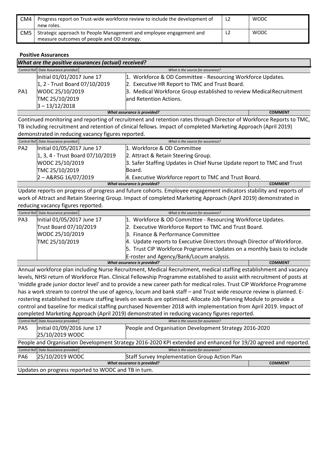| CM4 | Progress report on Trust-wide workforce review to include the development of<br>new roles.                         | L <sub>2</sub> | WODC        |
|-----|--------------------------------------------------------------------------------------------------------------------|----------------|-------------|
| CM5 | Strategic approach to People Management and employee engagement and<br>measure outcomes of people and OD strategy. |                | <b>WODC</b> |

**Positive Assurances**

|     | What are the positive assurances (actual) received? |                                                                      |                |  |  |
|-----|-----------------------------------------------------|----------------------------------------------------------------------|----------------|--|--|
|     | Control Ref Date Assurance provided                 | What is the source for assurance?                                    |                |  |  |
|     | Initial 01/01/2017 June 17                          | 1. Workforce & OD Committee - Resourcing Workforce Updates.          |                |  |  |
|     | 1, 2 - Trust Board 07/10/2019                       | 2. Executive HR Report to TMC and Trust Board.                       |                |  |  |
| PA1 | WODC 25/10/2019                                     | 3. Medical Workforce Group established to review Medical Recruitment |                |  |  |
|     | TMC 25/10/2019                                      | and Retention Actions.                                               |                |  |  |
|     | $3 - 13/12/2018$                                    |                                                                      |                |  |  |
|     |                                                     | What assurance is provided?                                          | <b>COMMENT</b> |  |  |

Continued monitoring and reporting of recruitment and retention rates through Director of Workforce Reports to TMC, TB including recruitment and retention of clinical fellows. Impact of completed Marketing Approach (April 2019) demonstrated in reducing vacancy figures reported.

|                 | Control Ref Date Assurance provided           | What is the source for assurance?                                       |  |
|-----------------|-----------------------------------------------|-------------------------------------------------------------------------|--|
| PA <sub>2</sub> | Initial 01/05/2017 June 17                    | 1. Workforce & OD Committee                                             |  |
|                 | 1, 3, 4 - Trust Board 07/10/2019              | 2. Attract & Retain Steering Group.                                     |  |
|                 | WODC 25/10/2019                               | 3. Safer Staffing Updates in Chief Nurse Update report to TMC and Trust |  |
|                 | TMC 25/10/2019                                | lBoard.                                                                 |  |
|                 | $2 - A&RSG 16/07/2019$                        | 4. Executive Workforce report to TMC and Trust Board.                   |  |
|                 | What assurance is provided?<br><b>COMMENT</b> |                                                                         |  |

Update reports on progress of progress and future cohorts. Employee engagement indicators stability and reports of work of Attract and Retain Steering Group. Impact of completed Marketing Approach (April 2019) demonstrated in reducing vacancy figures reported.

|     | Control Ref Date Assurance provided | What is the source for assurance?                                       |                |
|-----|-------------------------------------|-------------------------------------------------------------------------|----------------|
| PA3 | Initial 01/05/2017 June 17          | 1. Workforce & OD Committee - Resourcing Workforce Updates.             |                |
|     | Trust Board 07/10/2019              | 2. Executive Workforce Report to TMC and Trust Board.                   |                |
|     | WODC 25/10/2019                     | 3. Finance & Performance Committee                                      |                |
|     | TMC 25/10/2019                      | 4. Update reports to Executive Directors through Director of Workforce. |                |
|     |                                     | 5. Trust CIP Workforce Programme Updates on a monthly basis to include  |                |
|     |                                     | E-roster and Agency/Bank/Locum analysis.                                |                |
|     |                                     | What assurance is provided?                                             | <b>COMMENT</b> |

Annual workforce plan including Nurse Recruitment, Medical Recruitment, medical staffing establishment and vacancy levels, NHSI return of Workforce Plan. Clinical Fellowship Programme established to assist with recruitment of posts at 'middle grade junior doctor level' and to provide a new career path for medical roles. Trust CIP Workforce Programme has a work stream to control the use of agency, locum and bank staff - and Trust wide resource review is planned. Erostering established to ensure staffing levels on wards are optimised. Allocate Job Planning Module to provide a control and baseline for medical staffing purchased November 2018 with implementation from April 2019. Impact of completed Marketing Approach (April 2019) demonstrated in reducing vacancy figures reported.

|                 | Control Ref Date Assurance provided                                                                             | What is the source for assurance?                      |                                               |                |  |  |
|-----------------|-----------------------------------------------------------------------------------------------------------------|--------------------------------------------------------|-----------------------------------------------|----------------|--|--|
| PA <sub>5</sub> | Initial 01/09/2016 June 17                                                                                      | People and Organisation Development Strategy 2016-2020 |                                               |                |  |  |
|                 | 25/10/2019 WODC                                                                                                 |                                                        |                                               |                |  |  |
|                 | People and Organisation Development Strategy 2016-2020 KPI extended and enhanced for 19/20 agreed and reported. |                                                        |                                               |                |  |  |
|                 |                                                                                                                 |                                                        |                                               |                |  |  |
|                 | Control Ref Date Assurance provided                                                                             |                                                        | What is the source for assurance?             |                |  |  |
| PA <sub>6</sub> | 25/10/2019 WODC                                                                                                 |                                                        | Staff Survey Implementation Group Action Plan |                |  |  |
|                 |                                                                                                                 |                                                        | What assurance is provided?                   | <b>COMMENT</b> |  |  |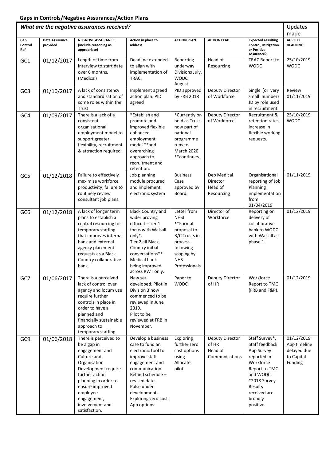|                 |                | What are the negative assurances received?                                                                                                                                                                                               |                                                                                                                                                                                                                              |                                                                                                                                              |                                                       |                                                                                                                                                                             | Updates<br>made                                                    |
|-----------------|----------------|------------------------------------------------------------------------------------------------------------------------------------------------------------------------------------------------------------------------------------------|------------------------------------------------------------------------------------------------------------------------------------------------------------------------------------------------------------------------------|----------------------------------------------------------------------------------------------------------------------------------------------|-------------------------------------------------------|-----------------------------------------------------------------------------------------------------------------------------------------------------------------------------|--------------------------------------------------------------------|
| Gap             | Date Assurance | <b>NEGATIVE ASSURANCE</b>                                                                                                                                                                                                                | Action in place to                                                                                                                                                                                                           | <b>ACTION PLAN</b>                                                                                                                           | <b>ACTION LEAD</b>                                    | <b>Expected resulting</b>                                                                                                                                                   | <b>AGREED</b>                                                      |
| Control<br>Ref  | provided       | (include reasoning as<br>appropriate)                                                                                                                                                                                                    | address                                                                                                                                                                                                                      |                                                                                                                                              |                                                       | <b>Control, Mitigation</b><br>or Positive<br>Assurance?                                                                                                                     | <b>DEADLINE</b>                                                    |
| GC1             | 01/12/2017     | Length of time from<br>interview to start date<br>over 6 months.<br>(Medical)                                                                                                                                                            | Deadline extended<br>to align with<br>implementation of<br>TRAC.                                                                                                                                                             | Reporting<br>underway<br>Divisions July,<br><b>WODC</b><br>August                                                                            | Head of<br>Resourcing                                 | <b>TRAC Report to</b><br><b>WODC</b>                                                                                                                                        | 25/10/2019<br><b>WODC</b>                                          |
| GC <sub>3</sub> | 01/10/2017     | A lack of consistency<br>and standardisation of<br>some roles within the<br>Trust                                                                                                                                                        | Implement agreed<br>action plan. PID<br>agreed                                                                                                                                                                               | PID approved<br>by FRB 2018                                                                                                                  | Deputy Director<br>of Workforce                       | Single (or very<br>small number)<br>JD by role used<br>in recruitment                                                                                                       | Review<br>01/11/2019                                               |
| GC4             | 01/09/2017     | There is a lack of a<br>consistent<br>organisational<br>employment model to<br>support greater<br>flexibility, recruitment<br>& attraction required.                                                                                     | *Establish and<br>promote and<br>improved flexible<br>enhanced<br>employment<br>model **and<br>overarching<br>approach to<br>recruitment and<br>retention.                                                                   | *Currently on<br>hold as Trust<br>now part of<br>national<br>programme<br>runs to<br>March 2020<br>**continues.                              | Deputy Director<br>of Workforce                       | Recruitment &<br>retention rates,<br>increase in<br>flexible working<br>requests.                                                                                           | 25/10/2019<br><b>WODC</b>                                          |
| GC5             | 01/12/2018     | Failure to effectively<br>maximise workforce<br>productivity; failure to<br>routinely review<br>consultant job plans.                                                                                                                    | Job planning<br>module procured<br>and implement<br>electronic system                                                                                                                                                        | <b>Business</b><br>Case<br>approved by<br>Board.                                                                                             | Dep Medical<br>Director<br>Head of<br>Resourcing      | Organisational<br>reporting of Job<br>Planning<br>implementation<br>from<br>01/04/2019                                                                                      | 01/11/2019                                                         |
| GC <sub>6</sub> | 01/12/2018     | A lack of longer term<br>plans to establish a<br>central resourcing for<br>temporary staffing<br>that improves internal<br>bank and external<br>agency placement<br>requests as a Black<br>Country collaborative<br>bank.                | <b>Black Country and</b><br>wider proving<br>difficult-Tier 1<br>focus with Walsall<br>only*.<br>Tier 2 all Black<br>Country initial<br>conversations**<br><b>Medical bank</b><br>being improved<br>across RWT only.         | Letter from<br><b>NHSI</b><br>**Formal<br>proposal to<br>B/C Trusts in<br>process<br>following<br>scoping by<br><b>NHS</b><br>Professionals. | Director of<br>Workforce                              | Reporting on<br>delivery of<br>collaborative<br>bank to WODC<br>with Walsall as<br>phase 1.                                                                                 | 01/12/2019                                                         |
| GC7             | 01/06/2017     | There is a perceived<br>lack of control over<br>agency and locum use<br>require further<br>controls in place in<br>order to have a<br>planned and<br>financially sustainable<br>approach to<br>temporary staffing.                       | New set<br>developed. Pilot in<br>Division 3 now<br>commenced to be<br>reviewed in June<br>2019.<br>Pilot to be<br>reviewed at FRB in<br>November.                                                                           | Paper to<br><b>WODC</b>                                                                                                                      | Deputy Director<br>of HR                              | Workforce<br>Report to TMC<br>(FRB and F&P).                                                                                                                                | 01/12/2019                                                         |
| GC9             | 01/06/2018     | There is perceived to<br>be a gap in<br>engagement and<br>Culture and<br>Organisation<br>Development require<br>further action<br>planning in order to<br>ensure improved<br>employee<br>engagement,<br>involvement and<br>satisfaction. | Develop a business<br>case to fund an<br>electronic tool to<br>improve staff<br>engagement and<br>communication.<br>Behind schedule -<br>revised date.<br>Pulse under<br>development.<br>Exploring zero cost<br>App options. | Exploring<br>further zero<br>cost options<br>using<br>Allocate<br>pilot.                                                                     | Deputy Director<br>of HR<br>Head of<br>Communications | Staff Survey*,<br>Staff feedback<br>App Survey<br>reported in<br>Workforce<br>Report to TMC<br>and WODC.<br>*2018 Survey<br>Results<br>received are<br>broadly<br>positive. | 01/12/2019<br>App timeline<br>delayed due<br>to Capital<br>Funding |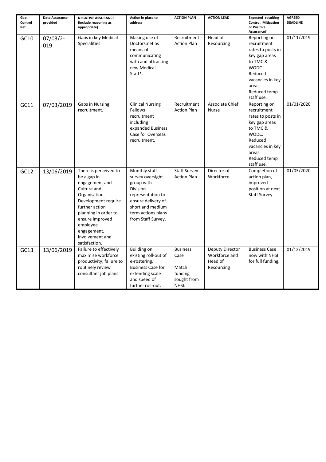| Gap<br>Control<br>Ref | <b>Date Assurance</b><br>provided | <b>NEGATIVE ASSURANCE</b><br>(include reasoning as<br>appropriate)                                                                                                                                                                       | Action in place to<br>address                                                                                                                                          | <b>ACTION PLAN</b>                                                  | <b>ACTION LEAD</b>                                        | <b>Expected resulting</b><br><b>Control, Mitigation</b><br>or Positive<br>Assurance?                                                                          | <b>AGREED</b><br><b>DEADLINE</b> |
|-----------------------|-----------------------------------|------------------------------------------------------------------------------------------------------------------------------------------------------------------------------------------------------------------------------------------|------------------------------------------------------------------------------------------------------------------------------------------------------------------------|---------------------------------------------------------------------|-----------------------------------------------------------|---------------------------------------------------------------------------------------------------------------------------------------------------------------|----------------------------------|
| GC10                  | $07/03/2$ -<br>019                | Gaps in key Medical<br><b>Specialities</b>                                                                                                                                                                                               | Making use of<br>Doctors.net as<br>means of<br>communicating<br>with and attracting<br>new Medical<br>Staff*.                                                          | Recruitment<br><b>Action Plan</b>                                   | Head of<br>Resourcing                                     | Reporting on<br>recruitment<br>rates to posts in<br>key gap areas<br>to TMC &<br>WODC.<br>Reduced<br>vacancies in key<br>areas.<br>Reduced temp<br>staff use. | 01/11/2019                       |
| GC11                  | 07/03/2019                        | <b>Gaps in Nursing</b><br>recruitment.                                                                                                                                                                                                   | <b>Clinical Nursing</b><br>Fellows<br>recruitment<br>including<br>expanded Business<br>Case for Overseas<br>recruitment.                                               | Recruitment<br><b>Action Plan</b>                                   | Associate Chief<br><b>Nurse</b>                           | Reporting on<br>recruitment<br>rates to posts in<br>key gap areas<br>to TMC &<br>WODC.<br>Reduced<br>vacancies in key<br>areas.<br>Reduced temp<br>staff use. | 01/01/2020                       |
| GC12                  | 13/06/2019                        | There is perceived to<br>be a gap in<br>engagement and<br>Culture and<br>Organisation<br>Development require<br>further action<br>planning in order to<br>ensure improved<br>employee<br>engagement,<br>involvement and<br>satisfaction. | Monthly staff<br>survey oversight<br>group with<br>Division<br>representation to<br>ensure delivery of<br>short and medium<br>term actions plans<br>from Staff Survey. | <b>Staff Survey</b><br><b>Action Plan</b>                           | Director of<br>Workforce                                  | Completion of<br>action plan,<br>improved<br>position at next<br><b>Staff Survey</b>                                                                          | 01/03/2020                       |
| GC13                  | 13/06/2019                        | Failure to effectively<br>maximise workforce<br>productivity; failure to<br>routinely review<br>consultant job plans.                                                                                                                    | <b>Building on</b><br>existing roll-out of<br>e-rostering,<br><b>Business Case for</b><br>extending scale<br>and speed of<br>further roll-out.                         | <b>Business</b><br>Case<br>Match<br>funding<br>sought from<br>NHSI. | Deputy Director<br>Workforce and<br>Head of<br>Resourcing | <b>Business Case</b><br>now with NHSI<br>for full funding.                                                                                                    | 01/12/2019                       |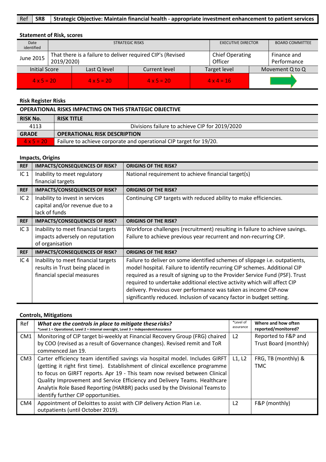#### Ref **SR8 Strategic Objective: Maintain financial health - appropriate investment enhancement to patient services**

# **Statement of Risk, scores**

| Date<br>identified                   |            | <b>STRATEGIC RISKS</b> | <b>EXECUTIVE DIRECTOR</b>                                  | <b>BOARD COMMITTEE</b>            |                            |  |
|--------------------------------------|------------|------------------------|------------------------------------------------------------|-----------------------------------|----------------------------|--|
| June 2015                            | 2019/2020) |                        | That there is a failure to deliver required CIP's (Revised | <b>Chief Operating</b><br>Officer | Finance and<br>Performance |  |
| <b>Initial Score</b><br>Last Q level |            | Current level          |                                                            | Target level                      | Movement Q to Q            |  |
| $4 \times 5 = 20$                    |            | $4 \times 5 = 20$      | $4 \times 5 = 20$                                          |                                   | $4 \times 4 = 16$          |  |

#### **Risk Register Risks**

| <b>OPERATIONAL RISKS IMPACTING ON THIS STRATEGIC OBJECTIVE</b> |                                                                    |  |  |
|----------------------------------------------------------------|--------------------------------------------------------------------|--|--|
| <b>RISK No.</b>                                                | <b>RISK TITLE</b>                                                  |  |  |
| 4113                                                           | Divisions failure to achieve CIP for 2019/2020                     |  |  |
| <b>GRADE</b>                                                   | <b>OPERATIONAL RISK DESCRIPTION</b>                                |  |  |
| $4 \times 5 = 20$                                              | Failure to achieve corporate and operational CIP target for 19/20. |  |  |

#### **Impacts, Origins**

| <b>REF</b>      | <b>IMPACTS/CONSEQUENCES OF RISK?</b>                                                                  | <b>ORIGINS OF THE RISK?</b>                                                                                                                                                                                                                                                                                                                                                                                                                                             |
|-----------------|-------------------------------------------------------------------------------------------------------|-------------------------------------------------------------------------------------------------------------------------------------------------------------------------------------------------------------------------------------------------------------------------------------------------------------------------------------------------------------------------------------------------------------------------------------------------------------------------|
| IC <sub>1</sub> | Inability to meet regulatory                                                                          | National requirement to achieve financial target(s)                                                                                                                                                                                                                                                                                                                                                                                                                     |
|                 | financial targets                                                                                     |                                                                                                                                                                                                                                                                                                                                                                                                                                                                         |
| <b>REF</b>      | <b>IMPACTS/CONSEQUENCES OF RISK?</b>                                                                  | <b>ORIGINS OF THE RISK?</b>                                                                                                                                                                                                                                                                                                                                                                                                                                             |
| IC <sub>2</sub> | Inability to invest in services<br>capital and/or revenue due to a                                    | Continuing CIP targets with reduced ability to make efficiencies.                                                                                                                                                                                                                                                                                                                                                                                                       |
|                 | lack of funds                                                                                         |                                                                                                                                                                                                                                                                                                                                                                                                                                                                         |
| <b>REF</b>      | <b>IMPACTS/CONSEQUENCES OF RISK?</b>                                                                  | <b>ORIGINS OF THE RISK?</b>                                                                                                                                                                                                                                                                                                                                                                                                                                             |
| IC <sub>3</sub> | Inability to meet financial targets                                                                   | Workforce challenges (recruitment) resulting in failure to achieve savings.                                                                                                                                                                                                                                                                                                                                                                                             |
|                 | impacts adversely on reputation                                                                       | Failure to achieve previous year recurrent and non-recurring CIP.                                                                                                                                                                                                                                                                                                                                                                                                       |
|                 | of organisation                                                                                       |                                                                                                                                                                                                                                                                                                                                                                                                                                                                         |
| <b>REF</b>      | <b>IMPACTS/CONSEQUENCES OF RISK?</b>                                                                  | <b>ORIGINS OF THE RISK?</b>                                                                                                                                                                                                                                                                                                                                                                                                                                             |
| IC <sub>4</sub> | Inability to meet financial targets<br>results in Trust being placed in<br>financial special measures | Failure to deliver on some identified schemes of slippage <i>i.e.</i> outpatients,<br>model hospital. Failure to identify recurring CIP schemes. Additional CIP<br>required as a result of signing up to the Provider Service Fund (PSF). Trust<br>required to undertake additional elective activity which will affect CIP<br>delivery. Previous over performance was taken as income CIP-now<br>significantly reduced. Inclusion of vacancy factor in budget setting. |

| Ref             | What are the controls in place to mitigate these risks?<br>*Level 1 = Operational, Level 2 = internal oversight, Level 3 = Independent Assurance | *Level of<br>assurance | Where and how often<br>reported/monitored? |
|-----------------|--------------------------------------------------------------------------------------------------------------------------------------------------|------------------------|--------------------------------------------|
| CM <sub>1</sub> | Monitoring of CIP target bi-weekly at Financial Recovery Group (FRG) chaired                                                                     | L <sub>2</sub>         | Reported to F&P and                        |
|                 | by COO (revised as a result of Governance changes). Revised remit and ToR                                                                        |                        | Trust Board (monthly)                      |
|                 | commenced Jan 19.                                                                                                                                |                        |                                            |
| CM <sub>3</sub> | Carter efficiency team identified savings via hospital model. Includes GIRFT                                                                     | L1, L2                 | FRG, TB (monthly) &                        |
|                 | (getting it right first time). Establishment of clinical excellence programme                                                                    |                        | <b>TMC</b>                                 |
|                 | to focus on GIRFT reports. Apr 19 - This team now revised between Clinical                                                                       |                        |                                            |
|                 | Quality Improvement and Service Efficiency and Delivery Teams. Healthcare                                                                        |                        |                                            |
|                 | Analytix Role Based Reporting (HARBR) packs used by the Divisional Teamsto                                                                       |                        |                                            |
|                 | identify further CIP opportunities.                                                                                                              |                        |                                            |
| CM4             | Appointment of Deloittes to assist with CIP delivery Action Plan i.e.                                                                            | L2                     | F&P (monthly)                              |
|                 | outpatients (until October 2019).                                                                                                                |                        |                                            |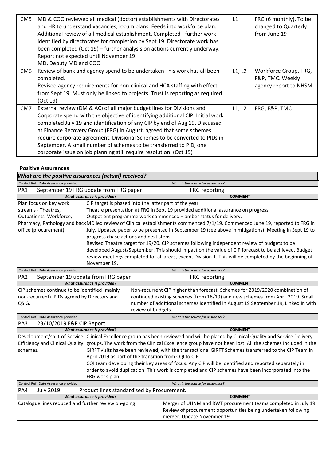| CM <sub>5</sub> | MD & COO reviewed all medical (doctor) establishments with Directorates<br>and HR to understand vacancies, locum plans. Feeds into workforce plan.<br>Additional review of all medical establishment. Completed - further work<br>identified by directorates for completion by Sept 19. Directorate work has<br>been completed (Oct 19) – further analysis on actions currently underway.<br>Report not expected until November 19.<br>MD, Deputy MD and COO                                                                            | L1     | FRG (6 monthly). To be<br>changed to Quarterly<br>from June 19     |
|-----------------|-----------------------------------------------------------------------------------------------------------------------------------------------------------------------------------------------------------------------------------------------------------------------------------------------------------------------------------------------------------------------------------------------------------------------------------------------------------------------------------------------------------------------------------------|--------|--------------------------------------------------------------------|
| CM <sub>6</sub> | Review of bank and agency spend to be undertaken This work has all been<br>completed.<br>Revised agency requirements for non-clinical and HCA staffing with effect<br>from Sept 19. Must only be linked to projects. Trust is reporting as required<br>(Oct 19)                                                                                                                                                                                                                                                                         | L1, L2 | Workforce Group, FRG,<br>F&P, TMC. Weekly<br>agency report to NHSM |
| CM7             | External review (DM & AC) of all major budget lines for Divisions and<br>Corporate spend with the objective of identifying additional CIP. Initial work<br>completed July 19 and identification of any CIP by end of Aug 19. Discussed<br>at Finance Recovery Group (FRG) in August, agreed that some schemes<br>require corporate agreement. Divisional Schemes to be converted to PIDs in<br>September. A small number of schemes to be transferred to PID, one<br>corporate issue on job planning still require resolution. (Oct 19) | L1, L2 | FRG, F&P, TMC                                                      |

#### **Positive Assurances**

| What are the positive assurances (actual) received?   |                                                                                    |                                                        |  |                                                                                                                               |  |
|-------------------------------------------------------|------------------------------------------------------------------------------------|--------------------------------------------------------|--|-------------------------------------------------------------------------------------------------------------------------------|--|
|                                                       | Control Ref Date Assurance provided<br>What is the source for assurance?           |                                                        |  |                                                                                                                               |  |
| PA1                                                   | September 19 FRG update from FRG paper                                             |                                                        |  | <b>FRG</b> reporting                                                                                                          |  |
| <b>What assurance is provided?</b><br><b>COMMENT</b>  |                                                                                    |                                                        |  |                                                                                                                               |  |
|                                                       | Plan focus on key work                                                             | CIP target is phased into the latter part of the year. |  |                                                                                                                               |  |
|                                                       | streams - Theatres,                                                                |                                                        |  | Theatre presentation at FRG in Sept 19 provided additional assurance on progress.                                             |  |
|                                                       | Outpatients, Workforce,                                                            |                                                        |  | Outpatient programme work commenced – amber status for delivery.                                                              |  |
|                                                       |                                                                                    |                                                        |  | Pharmacy, Pathology and back MD led review of Clinical establishments commenced 7/1/19. Commenced June 19, reported to FRG in |  |
|                                                       | office (procurement).                                                              |                                                        |  | Uuly. Updated paper to be presented in September 19 (see above in mitigations). Meeting in Sept 19 to                         |  |
|                                                       |                                                                                    | progress chase actions and next steps.                 |  |                                                                                                                               |  |
|                                                       |                                                                                    |                                                        |  | Revised Theatre target for 19/20. CIP schemes following independent review of budgets to be                                   |  |
|                                                       |                                                                                    |                                                        |  | developed August/September. This should impact on the value of CIP forecast to be achieved. Budget                            |  |
|                                                       |                                                                                    |                                                        |  | review meetings completed for all areas, except Division 1. This will be completed by the beginning of                        |  |
|                                                       | November 19.                                                                       |                                                        |  |                                                                                                                               |  |
|                                                       | <b>Control Ref</b><br>Date Assurance provided<br>What is the source for assurance? |                                                        |  |                                                                                                                               |  |
| PA <sub>2</sub><br>September 19 update from FRG paper |                                                                                    |                                                        |  | <b>FRG</b> reporting                                                                                                          |  |
| What assurance is provided?<br><b>COMMENT</b>         |                                                                                    |                                                        |  |                                                                                                                               |  |
| CIP schemes continue to be identified (mainly         |                                                                                    |                                                        |  | Non-recurrent CIP higher than forecast. Schemes for 2019/2020 combination of                                                  |  |

| CIP schemes continue to be identified (mainly | JINON-recurrent CIP higher than forecast. Schemes for 2019/2020 combination of    |
|-----------------------------------------------|-----------------------------------------------------------------------------------|
| non-recurrent). PIDs agreed by Directors and  | continued existing schemes (from 18/19) and new schemes from April 2019. Small    |
| QSIG.                                         | number of additional schemes identified in August 19 September 19, Linked in with |
|                                               | review of budgets.                                                                |

|                         | What is the source for assurance?                                     |                                                                                                                                                                                                                                                                                       |  |  |
|-------------------------|-----------------------------------------------------------------------|---------------------------------------------------------------------------------------------------------------------------------------------------------------------------------------------------------------------------------------------------------------------------------------|--|--|
|                         |                                                                       |                                                                                                                                                                                                                                                                                       |  |  |
|                         |                                                                       | <b>COMMENT</b>                                                                                                                                                                                                                                                                        |  |  |
|                         |                                                                       | Clinical Excellence group has been reviewed and will be placed by Clinical Quality and Service Delivery                                                                                                                                                                               |  |  |
|                         |                                                                       | Efficiency and Clinical Quality groups. The work from the Clinical Excellence group have not been lost. All the schemes included in the                                                                                                                                               |  |  |
|                         |                                                                       | GIRFT visits have been reviewed, with the transactional GIRFT Schemes transferred to the CIP Team in                                                                                                                                                                                  |  |  |
|                         |                                                                       |                                                                                                                                                                                                                                                                                       |  |  |
|                         |                                                                       | CQI team developing their key areas of focus. Any CIP will be identified and reported separately in                                                                                                                                                                                   |  |  |
|                         |                                                                       | order to avoid duplication. This work is completed and CIP schemes have been incorporated into the                                                                                                                                                                                    |  |  |
|                         | FRG work-plan.                                                        |                                                                                                                                                                                                                                                                                       |  |  |
| Date Assurance provided |                                                                       | What is the source for assurance?                                                                                                                                                                                                                                                     |  |  |
| <b>July 2019</b>        |                                                                       |                                                                                                                                                                                                                                                                                       |  |  |
|                         |                                                                       | <b>COMMENT</b>                                                                                                                                                                                                                                                                        |  |  |
|                         |                                                                       | Merger of UHNM and RWT procurement teams completed in July 19.                                                                                                                                                                                                                        |  |  |
|                         |                                                                       | Review of procurement opportunities being undertaken following                                                                                                                                                                                                                        |  |  |
|                         |                                                                       | merger. Update November 19.                                                                                                                                                                                                                                                           |  |  |
|                         | Control Ref Date Assurance provided<br>schemes.<br><b>Control Ref</b> | 23/10/2019 F&P CIP Report<br>What assurance is provided?<br>Development/split of Service<br>April 2019 as part of the transition from CQI to CIP.<br>Product lines standardised by Procurement.<br>What assurance is provided?<br>Catalogue lines reduced and further review on-going |  |  |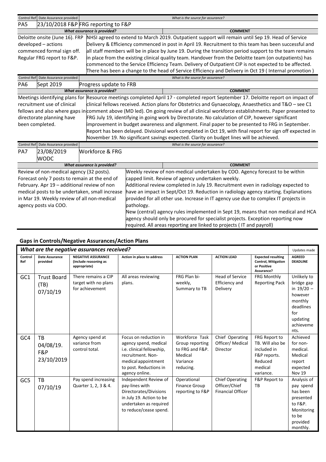|                                                                                                                                     | Control Ref Date Assurance provided           | What is the source for assurance?   |                                                                                     |                                                                                                                                   |  |
|-------------------------------------------------------------------------------------------------------------------------------------|-----------------------------------------------|-------------------------------------|-------------------------------------------------------------------------------------|-----------------------------------------------------------------------------------------------------------------------------------|--|
| PA5                                                                                                                                 |                                               | 23/10/2018 F&P FRG reporting to F&P |                                                                                     |                                                                                                                                   |  |
|                                                                                                                                     |                                               | What assurance is provided?         |                                                                                     | <b>COMMENT</b>                                                                                                                    |  |
|                                                                                                                                     | Deloitte onsite (June 16). FRP                |                                     |                                                                                     | NHSI agreed to extend to March 2019. Outpatient support will remain until Sep 19. Head of Service                                 |  |
|                                                                                                                                     | developed - actions                           |                                     |                                                                                     | Delivery & Efficiency commenced in post in April 19. Recruitment to this team has been successful and                             |  |
|                                                                                                                                     | commenced formal sign off.                    |                                     |                                                                                     | all staff members will be in place by June 19. During the transition period support to the team remains                           |  |
|                                                                                                                                     | Regular FRG report to F&P.                    |                                     |                                                                                     | in place from the existing clinical quality team. Handover from the Deloitte team (on outpatients) has                            |  |
|                                                                                                                                     |                                               |                                     |                                                                                     | commenced to the Service Efficiency Team. Delivery of Outpatient CIP is not expected to be affected.                              |  |
|                                                                                                                                     |                                               |                                     |                                                                                     | There has been a change to the head of Service Efficiency and Delivery in Oct 19 (Internal promotion)                             |  |
|                                                                                                                                     | Control Ref Date Assurance provided           |                                     |                                                                                     | What is the source for assurance?                                                                                                 |  |
| PA6                                                                                                                                 | Sept 2019                                     | Progress update to FRB              |                                                                                     |                                                                                                                                   |  |
|                                                                                                                                     |                                               | What assurance is provided?         |                                                                                     | <b>COMMENT</b>                                                                                                                    |  |
|                                                                                                                                     |                                               |                                     |                                                                                     | Meetings identifying plans for Resource meetings completed April 17 - completed report September 17. Deloitte report on impact of |  |
|                                                                                                                                     | recruitment use of clinical                   |                                     |                                                                                     | clinical fellows received. Action plans for Obstetrics and Gynaecology, Anaesthetics and $T&O$ – see C1                           |  |
| fellows and also where gaps in comment above (MD led). On going review of all clinical workforce establishments. Paper presented to |                                               |                                     |                                                                                     |                                                                                                                                   |  |
|                                                                                                                                     | directorate planning have                     |                                     |                                                                                     | FRG July 19, identifying in going work by Directorate. No calculation of CIP, however significant                                 |  |
|                                                                                                                                     | been completed.                               |                                     |                                                                                     | improvement in budget awareness and alignment. Final paper to be presented to FRG in September.                                   |  |
|                                                                                                                                     |                                               |                                     |                                                                                     | Report has been delayed. Divisional work completed in Oct 19, with final report for sign off expected in                          |  |
|                                                                                                                                     |                                               |                                     |                                                                                     | November 19. No significant savings expected. Clarity on budget lines will be achieved.                                           |  |
|                                                                                                                                     | Control Ref Date Assurance provided           |                                     |                                                                                     | What is the source for assurance?                                                                                                 |  |
| PA7                                                                                                                                 | 23/08/2019                                    | Workforce & FRG                     |                                                                                     |                                                                                                                                   |  |
|                                                                                                                                     | <b>WODC</b>                                   |                                     |                                                                                     |                                                                                                                                   |  |
|                                                                                                                                     |                                               | What assurance is provided?         |                                                                                     | <b>COMMENT</b>                                                                                                                    |  |
|                                                                                                                                     | Review of non-medical agency (32 posts).      |                                     |                                                                                     | Weekly review of non-medical undertaken by COO. Agency forecast to be within                                                      |  |
|                                                                                                                                     | Forecast only 7 posts to remain at the end of |                                     | capped limit. Review of agency undertaken weekly.                                   |                                                                                                                                   |  |
| February. Apr 19 - additional review of non                                                                                         |                                               |                                     | Additional review completed in July 19. Recruitment even in radiology expected to   |                                                                                                                                   |  |
| medical posts to be undertaken, small increase                                                                                      |                                               |                                     | have an impact in Sept/Oct 19. Reduction in radiology agency starting. Explanations |                                                                                                                                   |  |
| in Mar 19. Weekly review of all non-medical                                                                                         |                                               |                                     | provided for all other use. Increase in IT agency use due to complex IT projects in |                                                                                                                                   |  |
| agency posts via COO.                                                                                                               |                                               |                                     | pathology.                                                                          |                                                                                                                                   |  |
|                                                                                                                                     |                                               |                                     | New (central) agency rules implemented in Sept 19, means that non medical and HCA   |                                                                                                                                   |  |
|                                                                                                                                     |                                               |                                     | agency should only be procured for specialist projects. Exception reporting now     |                                                                                                                                   |  |
|                                                                                                                                     |                                               |                                     |                                                                                     | required. All areas reporting are linked to projects (IT and payroll)                                                             |  |

| What are the negative assurances received? |                                        |                                                                    |                                                                                                                                                                     |                                                                                          |                                                                     |                                                                                                     | Updates made                                                                                                         |
|--------------------------------------------|----------------------------------------|--------------------------------------------------------------------|---------------------------------------------------------------------------------------------------------------------------------------------------------------------|------------------------------------------------------------------------------------------|---------------------------------------------------------------------|-----------------------------------------------------------------------------------------------------|----------------------------------------------------------------------------------------------------------------------|
| Control<br>Ref                             | Date Assurance<br>provided             | <b>NEGATIVE ASSURANCE</b><br>(include reasoning as<br>appropriate) | Action in place to address                                                                                                                                          | <b>ACTION PLAN</b>                                                                       | <b>ACTION LEAD</b>                                                  | <b>Expected resulting</b><br><b>Control, Mitigation</b><br>or Positive<br>Assurance?                | <b>AGREED</b><br><b>DEADLINE</b>                                                                                     |
| GC1                                        | <b>Trust Board</b><br>(TB)<br>07/10/19 | There remains a CIP<br>target with no plans<br>for achievement     | All areas reviewing<br>plans.                                                                                                                                       | FRG Plan bi-<br>weekly,<br>Summary to TB                                                 | <b>Head of Service</b><br>Efficiency and<br>Delivery                | FRG Monthly<br><b>Reporting Pack</b>                                                                | Unlikely to<br>bridge gap<br>in $19/20 -$<br>however<br>monthly<br>deadlines<br>for<br>updating<br>achieveme<br>nts. |
| GC4                                        | TB<br>04/08/19.<br>F&P<br>23/10/2019   | Agency spend at<br>variance from<br>control total.                 | Focus on reduction in<br>agency spend, medical<br>i.e. clinical fellowship,<br>recruitment. Non-<br>medical appointment<br>to post. Reductions in<br>agency online. | Workforce Task<br>Group reporting<br>to FRG and F&P.<br>Medical<br>Variance<br>reducing. | Chief Operating<br>Officer/ Medical<br>Director                     | FRG Report to<br>TB. Will also be<br>included in<br>F&P reports.<br>Reduced<br>medical<br>variance. | Achieved<br>for non-<br>medical.<br>Medical<br>report<br>expected<br><b>Nov 19</b>                                   |
| GC5                                        | <b>TB</b><br>07/10/19                  | Pay spend increasing<br>Quarter 1, 2, 3 & 4.                       | Independent Review of<br>pay-lines with<br>Directorates/Divisions<br>in July 19. Action to be<br>undertaken as required<br>to reduce/cease spend.                   | Operational<br><b>Finance Group</b><br>reporting to F&P                                  | <b>Chief Operating</b><br>Officer/Chief<br><b>Financial Officer</b> | F&P Report to<br>TB                                                                                 | Analysis of<br>pay spend<br>has been<br>presented<br>to F&P.<br>Monitoring<br>to be<br>provided<br>monthly.          |

# **Gaps in Controls/Negative Assurances/Action Plans**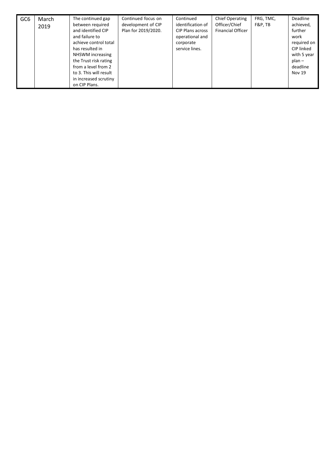| GC <sub>6</sub> | March<br>2019 | The continued gap<br>between required<br>and identified CIP<br>and failure to<br>achieve control total<br>has resulted in<br>NHSWM increasing<br>the Trust risk rating<br>from a level from 2<br>to 3. This will result<br>in increased scrutiny<br>on CIP Plans. | Continued focus on<br>development of CIP<br>Plan for 2019/2020. | Continued<br>identification of<br><b>CIP Plans across</b><br>operational and<br>corporate<br>service lines. | <b>Chief Operating</b><br>Officer/Chief<br><b>Financial Officer</b> | FRG, TMC,<br>F&P.TB | Deadline<br>achieved,<br>further<br>work<br>required on<br>CIP linked<br>with 5 year<br>$plan -$<br>deadline<br><b>Nov 19</b> |
|-----------------|---------------|-------------------------------------------------------------------------------------------------------------------------------------------------------------------------------------------------------------------------------------------------------------------|-----------------------------------------------------------------|-------------------------------------------------------------------------------------------------------------|---------------------------------------------------------------------|---------------------|-------------------------------------------------------------------------------------------------------------------------------|
|-----------------|---------------|-------------------------------------------------------------------------------------------------------------------------------------------------------------------------------------------------------------------------------------------------------------------|-----------------------------------------------------------------|-------------------------------------------------------------------------------------------------------------|---------------------------------------------------------------------|---------------------|-------------------------------------------------------------------------------------------------------------------------------|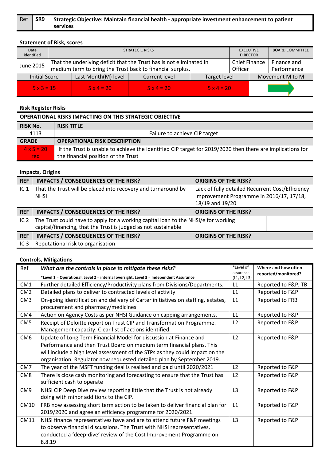| Ref SR9 | Strategic Objective: Maintain financial health - appropriate investment enhancement to patient |
|---------|------------------------------------------------------------------------------------------------|
|         | services                                                                                       |

# **Statement of Risk, scores**

| Date<br>identified                                                           | <b>STRATEGIC RISKS</b>                                                                                                           |            |            |            |                 | <b>EXECUTIVE</b><br><b>DIRECTOR</b> | <b>BOARD COMMITTEE</b>     |
|------------------------------------------------------------------------------|----------------------------------------------------------------------------------------------------------------------------------|------------|------------|------------|-----------------|-------------------------------------|----------------------------|
| June 2015                                                                    | That the underlying deficit that the Trust has is not eliminated in<br>medium term to bring the Trust back to financial surplus. |            |            |            |                 | <b>Chief Finance</b><br>Officer     | Finance and<br>Performance |
| Last Month(M) level<br><b>Initial Score</b><br>Current level<br>Target level |                                                                                                                                  |            |            |            | Movement M to M |                                     |                            |
| $5 \times 3 = 15$                                                            |                                                                                                                                  | $5x4 = 20$ | $5x4 = 20$ | $5x4 = 20$ |                 |                                     |                            |

# **Risk Register Risks**

| <b>OPERATIONAL RISKS IMPACTING ON THIS STRATEGIC OBJECTIVE</b> |                                                                                                           |  |  |  |  |
|----------------------------------------------------------------|-----------------------------------------------------------------------------------------------------------|--|--|--|--|
| <b>RISK No.</b>                                                | <b>RISK TITLE</b>                                                                                         |  |  |  |  |
| 4113                                                           | Failure to achieve CIP target                                                                             |  |  |  |  |
| <b>GRADE</b>                                                   | <b>OPERATIONAL RISK DESCRIPTION</b>                                                                       |  |  |  |  |
| $4 \times 5 = 20$                                              | If the Trust is unable to achieve the identified CIP target for 2019/2020 then there are implications for |  |  |  |  |
| red                                                            | the financial position of the Trust                                                                       |  |  |  |  |

# **Impacts, Origins**

| <b>REF</b>      | <b>IMPACTS / CONSEQUENCES OF THE RISK?</b>                                                                                                           | <b>ORIGINS OF THE RISK?</b>                                                                                     |  |  |
|-----------------|------------------------------------------------------------------------------------------------------------------------------------------------------|-----------------------------------------------------------------------------------------------------------------|--|--|
| IC <sub>1</sub> | That the Trust will be placed into recovery and turnaround by<br><b>NHSI</b>                                                                         | Lack of fully detailed Recurrent Cost/Efficiency<br>Improvement Programme in 2016/17, 17/18,<br>18/19 and 19/20 |  |  |
| <b>REF</b>      | <b>IMPACTS / CONSEQUENCES OF THE RISK?</b>                                                                                                           | <b>ORIGINS OF THE RISK?</b>                                                                                     |  |  |
| IC $2$          | The Trust could have to apply for a working capital loan to the NHSI/e for working<br>capital/financing, that the Trust is judged as not sustainable |                                                                                                                 |  |  |
| <b>REF</b>      | <b>IMPACTS / CONSEQUENCES OF THE RISK?</b>                                                                                                           | <b>ORIGINS OF THE RISK?</b>                                                                                     |  |  |
| IC <sub>3</sub> | Reputational risk to organisation                                                                                                                    |                                                                                                                 |  |  |

| Ref             | What are the controls in place to mitigate these risks?                                                                         | *Level of                 | Where and how often |
|-----------------|---------------------------------------------------------------------------------------------------------------------------------|---------------------------|---------------------|
|                 | *Level 1 = Operational, Level 2 = internal oversight, Level 3 = Independent Assurance                                           | assurance<br>(L1, L2, L3) | reported/monitored? |
| CM1             | Further detailed Efficiency/Productivity plans from Divisions/Departments.                                                      | L1                        | Reported to F&P, TB |
| CM <sub>2</sub> | Detailed plans to deliver to contracted levels of activity                                                                      | L1                        | Reported to F&P     |
| CM <sub>3</sub> | On-going identification and delivery of Carter initiatives on staffing, estates,<br>procurement and pharmacy/medicines.         | L1                        | Reported to FRB     |
| CM4             | Action on Agency Costs as per NHSI Guidance on capping arrangements.                                                            | L1                        | Reported to F&P     |
| CM <sub>5</sub> | Receipt of Deloitte report on Trust CIP and Transformation Programme.<br>Management capacity. Clear list of actions identified. | L2                        | Reported to F&P     |
| CM <sub>6</sub> | Update of Long Term Financial Model for discussion at Finance and                                                               | L2                        | Reported to F&P     |
|                 | Performance and then Trust Board on medium term financial plans. This                                                           |                           |                     |
|                 | will include a high level assessment of the STPs as they could impact on the                                                    |                           |                     |
|                 | organisation. Regulator now requested detailed plan by September 2019.                                                          |                           |                     |
| CM7             | The year of the MSFT funding deal is realised and paid until 2020/2021                                                          | L <sub>2</sub>            | Reported to F&P     |
| CM8             | There is close cash monitoring and forecasting to ensure that the Trust has                                                     | L2                        | Reported to F&P     |
|                 | sufficient cash to operate                                                                                                      |                           |                     |
| CM <sub>9</sub> | NHSI CIP Deep Dive review reporting little that the Trust is not already                                                        | L <sub>3</sub>            | Reported to F&P     |
|                 | doing with minor additions to the CIP.                                                                                          |                           |                     |
| CM10            | FRB now assessing short term action to be taken to deliver financial plan for                                                   | L1                        | Reported to F&P     |
|                 | 2019/2020 and agree an efficiency programme for 2020/2021.                                                                      |                           |                     |
| CM11            | NHSI finance representatives have and are to attend future F&P meetings                                                         | L3                        | Reported to F&P     |
|                 | to observe financial discussions. The Trust with NHSI representatives,                                                          |                           |                     |
|                 | conducted a 'deep-dive' review of the Cost Improvement Programme on                                                             |                           |                     |
|                 | 8.8.19                                                                                                                          |                           |                     |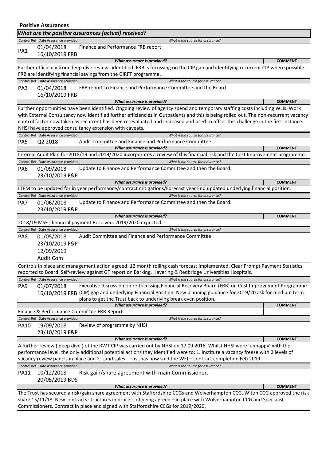|                 | <b>Positive Assurances</b>          |                                                                                                                                                                                                                                                      |                |  |  |  |  |
|-----------------|-------------------------------------|------------------------------------------------------------------------------------------------------------------------------------------------------------------------------------------------------------------------------------------------------|----------------|--|--|--|--|
|                 |                                     | What are the positive assurances (actual) received?                                                                                                                                                                                                  |                |  |  |  |  |
|                 | Control Ref Date Assurance provided | What is the source for assurance?                                                                                                                                                                                                                    |                |  |  |  |  |
| PA1             | 01/04/2018                          | Finance and Performance FRB report                                                                                                                                                                                                                   |                |  |  |  |  |
|                 | 16/10/2019 FRB                      |                                                                                                                                                                                                                                                      |                |  |  |  |  |
|                 |                                     | What assurance is provided?                                                                                                                                                                                                                          | <b>COMMENT</b> |  |  |  |  |
|                 |                                     | Further efficiency from deep dive reviews identified. FRB is focussing on the CIP gap and identifying recurrent CIP where possible.<br>FRB are identifying financial savings from the GiRFT programme.                                               |                |  |  |  |  |
|                 | Control Ref Date Assurance provided | What is the source for assurance?                                                                                                                                                                                                                    |                |  |  |  |  |
| PA3             | 01/04/2018<br>16/10/2019 FRB        | FRB report to Finance and Performance Committee and the Board                                                                                                                                                                                        |                |  |  |  |  |
|                 |                                     | What assurance is provided?                                                                                                                                                                                                                          | <b>COMMENT</b> |  |  |  |  |
|                 |                                     | Further opportunities have been identified. Ongoing review of agency spend and temporary staffing costs including WLIs. Work                                                                                                                         |                |  |  |  |  |
|                 |                                     | with External Consultancy now identified further efficiencies in Outpatients and this is being rolled out. The non-recurrent vacancy                                                                                                                 |                |  |  |  |  |
|                 |                                     | control factor now taken as recurrent has been re-evaluated and increased and used to offset this challenge in the first instance.<br>NHSI have approved consultancy extension with caveats.                                                         |                |  |  |  |  |
|                 | Control Ref Date Assurance provided | What is the source for assurance?                                                                                                                                                                                                                    |                |  |  |  |  |
| PA <sub>5</sub> | Q2 2018                             | Audit Committee and Finance and Performance Committee                                                                                                                                                                                                |                |  |  |  |  |
|                 |                                     | What assurance is provided?                                                                                                                                                                                                                          | <b>COMMENT</b> |  |  |  |  |
|                 |                                     | Internal Audit Plan for 2018/19 and 2019/2020 incorporates a review of this financial risk and the Cost Improvement programme.                                                                                                                       |                |  |  |  |  |
|                 | Control Ref Date Assurance provided | What is the source for assurance?                                                                                                                                                                                                                    |                |  |  |  |  |
| PA <sub>6</sub> | 01/09/2018                          | Update to Finance and Performance Committee and then the Board.                                                                                                                                                                                      |                |  |  |  |  |
|                 | 23/10/2019 F&P                      |                                                                                                                                                                                                                                                      |                |  |  |  |  |
|                 |                                     | What assurance is provided?                                                                                                                                                                                                                          | <b>COMMENT</b> |  |  |  |  |
|                 |                                     | LTFM to be updated for in year performance/contract mitigations/Forecast year End updated underlying financial position.                                                                                                                             |                |  |  |  |  |
|                 | Control Ref Date Assurance provided | What is the source for assurance?                                                                                                                                                                                                                    |                |  |  |  |  |
| PA7             | 01/06/2018<br>23/10/2019 F&P        | Update to Finance and Performance Committee and then the Board.                                                                                                                                                                                      |                |  |  |  |  |
|                 |                                     | What assurance is provided?                                                                                                                                                                                                                          | <b>COMMENT</b> |  |  |  |  |
|                 |                                     | 2018/19 MSFT financial payment Received. 2019/2020 expected.                                                                                                                                                                                         |                |  |  |  |  |
|                 | Control Ref Date Assurance provided | What is the source for assurance?                                                                                                                                                                                                                    |                |  |  |  |  |
| PA8             | 01/05/2018                          | Audit Committee and Finance and Performance Committee                                                                                                                                                                                                |                |  |  |  |  |
|                 | 23/10/2019 F&P                      |                                                                                                                                                                                                                                                      |                |  |  |  |  |
|                 | 12/09/2019                          |                                                                                                                                                                                                                                                      |                |  |  |  |  |
|                 | <b>Audit Com</b>                    |                                                                                                                                                                                                                                                      |                |  |  |  |  |
|                 |                                     | Controls in place and management action agreed. 12 month rolling cash forecast implemented. Clear Prompt Payment Statistics                                                                                                                          |                |  |  |  |  |
|                 |                                     | reported to Board. Self-review against GT report on Barking, Havering & Redbridge Universities Hospitals.                                                                                                                                            |                |  |  |  |  |
| PA <sub>9</sub> | Control Ref Date Assurance provided | What is the source for assurance?<br>Executive discussion on re-focussing Financial Recovery Board (FRB) on Cost Improvement Programme                                                                                                               |                |  |  |  |  |
|                 | 01/07/2018<br>16/10/2019 FRB        | (CIP) gap and underlying Financial Position. New planning guidance for 2019/20 ask for medium term                                                                                                                                                   |                |  |  |  |  |
|                 |                                     | plans to get the Trust back to underlying break even position.                                                                                                                                                                                       |                |  |  |  |  |
|                 |                                     | What assurance is provided?                                                                                                                                                                                                                          | <b>COMMENT</b> |  |  |  |  |
|                 |                                     | Finance & Performance Committee FRB Report                                                                                                                                                                                                           |                |  |  |  |  |
|                 | Control Ref Date Assurance provided | What is the source for assurance?                                                                                                                                                                                                                    |                |  |  |  |  |
| <b>PA10</b>     | 19/09/2018                          | Review of programme by NHSI                                                                                                                                                                                                                          |                |  |  |  |  |
|                 | 23/10/2019 F&P                      |                                                                                                                                                                                                                                                      |                |  |  |  |  |
|                 |                                     | What assurance is provided?                                                                                                                                                                                                                          | <b>COMMENT</b> |  |  |  |  |
|                 |                                     | A further review ('deep dive') of the RWT CIP was carried out by NHSI on 17.09.2018. Whilst NHSI were 'unhappy' with the                                                                                                                             |                |  |  |  |  |
|                 |                                     | performance level, the only additional potential actions they identified were to: 1. institute a vacancy freeze with 2 levels of                                                                                                                     |                |  |  |  |  |
|                 |                                     | vacancy review panels in place and 2. Land sales. Trust has now sold the WEI - contract completion Feb 2019.                                                                                                                                         |                |  |  |  |  |
|                 | Control Ref Date Assurance provided | What is the source for assurance?                                                                                                                                                                                                                    |                |  |  |  |  |
| <b>PA11</b>     | 10/12/2018                          | Risk gain/share agreement with main Commissioner.                                                                                                                                                                                                    |                |  |  |  |  |
|                 | 20/05/2019 BDS                      |                                                                                                                                                                                                                                                      |                |  |  |  |  |
|                 |                                     | What assurance is provided?                                                                                                                                                                                                                          | <b>COMMENT</b> |  |  |  |  |
|                 |                                     | The Trust has secured a risk/gain share agreement with Staffordshire CCGs and Wolverhampton CCG. W'ton CCG approved the risk<br>share 15/11/18. New contracts structures in process of being agreed - in place with Wolverhampton CCG and Specialist |                |  |  |  |  |
|                 |                                     | Commissioners. Contract in place and signed with Staffordshire CCGs for 2019/2020.                                                                                                                                                                   |                |  |  |  |  |
|                 |                                     |                                                                                                                                                                                                                                                      |                |  |  |  |  |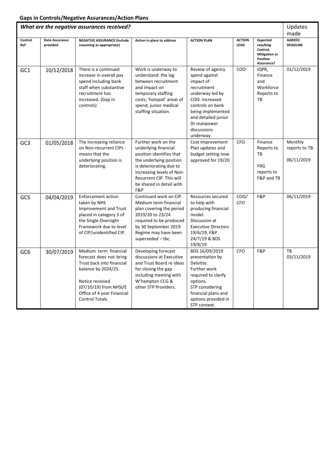|                 | What are the negative assurances received? |                                                                                                                                                                                                    |                                                                                                                                                                                                                           |                                                                                                                                                                                                               |                       |                                                                                            | Updates<br>made                         |
|-----------------|--------------------------------------------|----------------------------------------------------------------------------------------------------------------------------------------------------------------------------------------------------|---------------------------------------------------------------------------------------------------------------------------------------------------------------------------------------------------------------------------|---------------------------------------------------------------------------------------------------------------------------------------------------------------------------------------------------------------|-----------------------|--------------------------------------------------------------------------------------------|-----------------------------------------|
| Control<br>Ref  | <b>Date Assurance</b><br>provided          | <b>NEGATIVE ASSURANCE (include</b><br>reasoning as appropriate)                                                                                                                                    | Action in place to address                                                                                                                                                                                                | <b>ACTION PLAN</b>                                                                                                                                                                                            | <b>ACTION</b><br>LEAD | <b>Expected</b><br>resulting<br>Control,<br><b>Mitigation or</b><br>Positive<br>Assurance? | <b>AGREED</b><br><b>DEADLINE</b>        |
| GC1             | 10/12/2018                                 | There is a continued<br>increase in overall pay<br>spend including bank<br>staff when substantive<br>recruitment has<br>increased. (Gap in<br>controls)                                            | Work is underway to<br>understand: the lag<br>between recruitment<br>and impact on<br>temporary staffing<br>costs; 'hotspot' areas of<br>spend; junior medical<br>staffing situation.                                     | Review of agency<br>spend against<br>impact of<br>recruitment<br>underway led by<br>COO. Increased<br>controls on bank<br>being implemented<br>and detailed junior<br>Dr manpower<br>discussions<br>underway. | COO                   | IQPR,<br>Finance<br>and<br>Workforce<br>Reports to<br>TB                                   | 01/12/2019                              |
| GC <sub>3</sub> | 01/05/2018                                 | The increasing reliance<br>on Non-recurrent CIPs<br>means that the<br>underlying position is<br>deteriorating.                                                                                     | Further work on the<br>underlying financial<br>position identifies that<br>the underlying position<br>is deteriorating due to<br>increasing levels of Non-<br>Recurrent CIP. This will<br>be shared in detail with<br>F&P | Cost Improvement<br>Plan updates and<br>budget setting now<br>approved for 19/20                                                                                                                              | CFO                   | Finance<br>Reports to<br>TB<br>FRG<br>reports to<br>F&P and TB                             | Monthly<br>reports to TB.<br>06/11/2019 |
| GC5             | 04/04/2019                                 | <b>Enforcement action</b><br>taken by NHS<br>Improvement and Trust<br>placed in category 3 of<br>the Single Oversight<br>Framework due to level<br>of CIP/unidentified CIP.                        | Continued work on CIP.<br>Medium term financial<br>plan covering the period<br>2019/20 to 23/24<br>required to be produced<br>by 30 September 2019.<br>Regime may have been<br>superseded - tbc.                          | Resources secured<br>to help with<br>producing financial<br>model.<br>Discussion at<br><b>Executive Directors</b><br>19/6/19, F&P<br>24/7/19 & BDS<br>19/8/19                                                 | COO/<br>CFO           | F&P                                                                                        | 06/11/2019                              |
| GC <sub>6</sub> | 30/07/2019                                 | Medium term financial<br>forecast does not bring<br>Trust back into financial<br>balance by 2024/25.<br>Notice received<br>(07/10/19) from NHSI/E<br>Office of 4 year Financial<br>Control Totals. | Developing forecast<br>discussions at Executive<br>and Trust Board re ideas<br>for closing the gap<br>including meeting with<br>W'hampton CCG &<br>other STP Providers.                                                   | BDS 16/09/2019<br>presentation by<br>Deloitte.<br>Further work<br>required to clarify<br>options.<br>STP considering<br>financial plans and<br>options provided in<br>STP context.                            | CFO                   | F&P                                                                                        | TB<br>03/11/2019                        |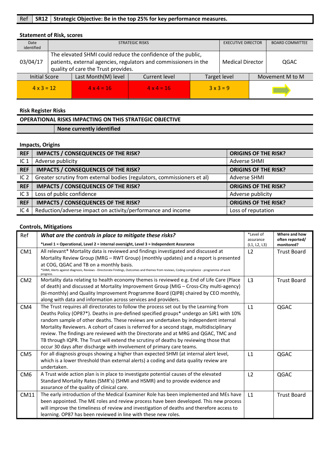# **Statement of Risk, scores**

| Date<br>identified |                                                                     | <b>STRATEGIC RISKS</b>                                                                                                                                                  | <b>EXECUTIVE DIRECTOR</b> |              | <b>BOARD COMMITTEE</b> |                 |  |
|--------------------|---------------------------------------------------------------------|-------------------------------------------------------------------------------------------------------------------------------------------------------------------------|---------------------------|--------------|------------------------|-----------------|--|
| 03/04/17           |                                                                     | The elevated SHMI could reduce the confidence of the public,<br>patients, external agencies, regulators and commissioners in the<br>quality of care the Trust provides. | <b>Medical Director</b>   | QGAC         |                        |                 |  |
|                    | Last Month(M) level<br><b>Initial Score</b><br><b>Current level</b> |                                                                                                                                                                         |                           | Target level |                        | Movement M to M |  |
| $4 \times 3 = 12$  |                                                                     | $4 \times 4 = 16$                                                                                                                                                       | $4 \times 4 = 16$         |              | $3x3=9$                |                 |  |

#### **Risk Register Risks**

# **OPERATIONAL RISKS IMPACTING ON THIS STRATEGIC OBJECTIVE None currently identified**

#### **Impacts, Origins**

| <b>REF</b>      | <b>IMPACTS / CONSEQUENCES OF THE RISK?</b>                              | <b>ORIGINS OF THE RISK?</b> |
|-----------------|-------------------------------------------------------------------------|-----------------------------|
| IC <sub>1</sub> | Adverse publicity                                                       | <b>Adverse SHMI</b>         |
| <b>REF</b>      | <b>IMPACTS / CONSEQUENCES OF THE RISK?</b>                              | <b>ORIGINS OF THE RISK?</b> |
| IC <sub>2</sub> | Greater scrutiny from external bodies (regulators, commissioners et al) | <b>Adverse SHMI</b>         |
|                 |                                                                         |                             |
| <b>REF</b>      | <b>IMPACTS / CONSEQUENCES OF THE RISK?</b>                              | <b>ORIGINS OF THE RISK?</b> |
| IC <sub>3</sub> | Loss of public confidence                                               | Adverse publicity           |
| <b>REF</b>      | <b>IMPACTS / CONSEQUENCES OF THE RISK?</b>                              | <b>ORIGINS OF THE RISK?</b> |

| Ref             | What are the controls in place to mitigate these risks?                                                                                                                                          | *Level of<br>assurance | Where and how<br>often reported/ |
|-----------------|--------------------------------------------------------------------------------------------------------------------------------------------------------------------------------------------------|------------------------|----------------------------------|
|                 | *Level 1 = Operational, Level 2 = internal oversight, Level 3 = Independent Assurance                                                                                                            | (L1, L2, L3)           | monitored?                       |
| CM <sub>1</sub> | All relevant* Mortality data is reviewed and findings investigated and discussed at                                                                                                              | L <sub>2</sub>         | <b>Trust Board</b>               |
|                 | Mortality Review Group (MRG - RWT Group) (monthly updates) and a report is presented                                                                                                             |                        |                                  |
|                 | at COG, QGAC and TB on a monthly basis.<br>*SHMI, Alerts against diagnosis, Reviews - Directorate Findings, Outcomes and themes from reviews, Coding compliance - programme of work<br>progress. |                        |                                  |
| CM2             | Mortality data relating to health economy themes is reviewed e.g. End of Life Care (Place                                                                                                        | L <sub>3</sub>         | <b>Trust Board</b>               |
|                 | of death) and discussed at Mortality Improvement Group (MIG - Cross-City multi-agency)                                                                                                           |                        |                                  |
|                 | (bi-monthly) and Quality Improvement Programme Board (QIPB) chaired by CEO monthly,<br>along with data and information across services and providers.                                            |                        |                                  |
| CM4             | The Trust requires all directorates to follow the process set out by the Learning from                                                                                                           | $\mathsf{L}1$          | QGAC                             |
|                 | Deaths Policy (OP87*). Deaths in pre-defined specified groups* undergo an SJR1 with 10%                                                                                                          |                        |                                  |
|                 | random sample of other deaths. These reviews are undertaken by independent internal                                                                                                              |                        |                                  |
|                 | Mortality Reviewers. A cohort of cases is referred for a second stage, multidisciplinary                                                                                                         |                        |                                  |
|                 | review. The findings are reviewed with the Directorate and at MRG and QGAC, TMC and                                                                                                              |                        |                                  |
|                 | TB through IQPR. The Trust will extend the scrutiny of deaths by reviewing those that                                                                                                            |                        |                                  |
|                 | occur 30 days after discharge with involvement of primary care teams.                                                                                                                            |                        |                                  |
| CM <sub>5</sub> | For all diagnosis groups showing a higher than expected SHMI (at internal alert level,                                                                                                           | L1                     | QGAC                             |
|                 | which is a lower threshold than external alerts) a coding and data quality review are<br>undertaken.                                                                                             |                        |                                  |
| CM <sub>6</sub> | A Trust wide action plan is in place to investigate potential causes of the elevated                                                                                                             | L <sub>2</sub>         | QGAC                             |
|                 | Standard Mortality Rates (SMR's) (SHMI and HSMR) and to provide evidence and                                                                                                                     |                        |                                  |
|                 | assurance of the quality of clinical care.                                                                                                                                                       |                        |                                  |
| <b>CM11</b>     | The early introduction of the Medical Examiner Role has been implemented and MEs have                                                                                                            | L1                     | <b>Trust Board</b>               |
|                 | been appointed. The ME roles and review process have been developed. This new process                                                                                                            |                        |                                  |
|                 | will improve the timeliness of review and investigation of deaths and therefore access to                                                                                                        |                        |                                  |
|                 | learning. OP87 has been reviewed in line with these new roles.                                                                                                                                   |                        |                                  |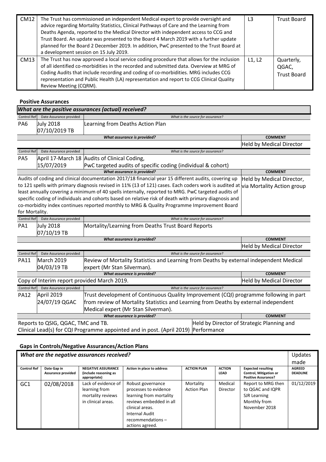| <b>CM12</b> | The Trust has commissioned an independent Medical expert to provide oversight and<br>advice regarding Mortality Statistics, Clinical Pathways of Care and the Learning from<br>Deaths Agenda, reported to the Medical Director with independent access to CCG and<br>Trust Board. An update was presented to the Board 4 March 2019 with a further update<br>planned for the Board 2 December 2019. In addition, PwC presented to the Trust Board at<br>a development session on 15 July 2019. | L3     | <b>Trust Board</b>                        |
|-------------|------------------------------------------------------------------------------------------------------------------------------------------------------------------------------------------------------------------------------------------------------------------------------------------------------------------------------------------------------------------------------------------------------------------------------------------------------------------------------------------------|--------|-------------------------------------------|
| CM13        | The Trust has now approved a local service coding procedure that allows for the inclusion<br>of all identified co-morbidities in the recorded and submitted data. Overview at MRG of<br>Coding Audits that include recording and coding of co-morbidities. MRG includes CCG<br>representation and Public Health (LA) representation and report to CCG Clinical Quality<br>Review Meeting (CQRM).                                                                                               | L1, L2 | Quarterly,<br>QGAC,<br><b>Trust Board</b> |

#### **Positive Assurances**

| What are the positive assurances (actual) received? |                         |                                                  |                                   |                          |  |  |
|-----------------------------------------------------|-------------------------|--------------------------------------------------|-----------------------------------|--------------------------|--|--|
| Control Ref                                         | Date Assurance provided |                                                  | What is the source for assurance? |                          |  |  |
| PA <sub>6</sub>                                     | <b>July 2018</b>        | Learning from Deaths Action Plan                 |                                   |                          |  |  |
|                                                     | 07/10/2019 TB           |                                                  |                                   |                          |  |  |
|                                                     |                         | What assurance is provided?                      |                                   | <b>COMMENT</b>           |  |  |
|                                                     |                         |                                                  |                                   | Held by Medical Director |  |  |
| <b>Control Ref</b>                                  | Date Assurance provided |                                                  | What is the source for assurance? |                          |  |  |
| - - -                                               |                         | $11.4 - 1.6$ $1.6 - 1.6$ $1.6 - 1.6$ $1.6 - 1.6$ |                                   |                          |  |  |

| PA <sub>5</sub>             |            | April 17-March 18 Audits of Clinical Coding,                 |                |
|-----------------------------|------------|--------------------------------------------------------------|----------------|
|                             | 15/07/2019 | PwC targeted audits of specific coding (individual & cohort) |                |
| What assurance is provided? |            |                                                              | <b>COMMENT</b> |
| $\sim$ $\sim$ $\sim$ $\sim$ |            | $\sim$ $\sim$ $\sim$ $\sim$ $\sim$ $\sim$ $\sim$             |                |

Audits of coding and clinical documentation 2017/18 financial year 15 different audits, covering up Held by Medical Director, to 121 spells with primary diagnosis revised in 11% (13 of 121) cases. Each coders work is audited at *wia Mortality Action group* least annually covering a minimum of 40 spells internally, reported to MRG. PwC targeted audits of specific coding of individuals and cohorts based on relative risk of death with primary diagnosis and co-morbidity index continues reported monthly to MRG & Quality Programme Improvement Board for Mortality.

| Control Ref | Date Assurance provided           | What is the source for assurance?                  |                |
|-------------|-----------------------------------|----------------------------------------------------|----------------|
| PA1         | <b>July 2018</b><br>$07/10/19$ TB | Mortality/Learning from Deaths Trust Board Reports |                |
|             |                                   | What assurance is provided?                        | <b>COMMENT</b> |

|                                             |                         |                                                                                       |                                                                                         | Held by Medical Director        |  |  |
|---------------------------------------------|-------------------------|---------------------------------------------------------------------------------------|-----------------------------------------------------------------------------------------|---------------------------------|--|--|
| <b>Control Ref</b>                          | Date Assurance provided |                                                                                       | What is the source for assurance?                                                       |                                 |  |  |
| <b>PA11</b>                                 | March 2019              |                                                                                       | Review of Mortality Statistics and Learning from Deaths by external independent Medical |                                 |  |  |
|                                             | 04/03/19 TB             | expert (Mr Stan Silverman).                                                           |                                                                                         |                                 |  |  |
|                                             |                         | <b>COMMENT</b>                                                                        |                                                                                         |                                 |  |  |
| Copy of Interim report provided March 2019. |                         |                                                                                       |                                                                                         | <b>Held by Medical Director</b> |  |  |
|                                             |                         | Date Assurance provided<br>What is the source for assurance?                          |                                                                                         |                                 |  |  |
| Control Ref                                 |                         |                                                                                       |                                                                                         |                                 |  |  |
| <b>PA12</b>                                 | April 2019              | Trust development of Continuous Quality Improvement (CQI) programme following in part |                                                                                         |                                 |  |  |
|                                             | 24/07/19 QGAC           | from review of Mortality Statistics and Learning from Deaths by external independent  |                                                                                         |                                 |  |  |
|                                             |                         | Medical expert (Mr Stan Silverman).                                                   |                                                                                         |                                 |  |  |
|                                             |                         | What assurance is provided?                                                           |                                                                                         | <b>COMMENT</b>                  |  |  |

Clinical Lead(s) for CQI Programme appointed and in post. (April 2019) Performance

### **Gaps in Controls/Negative Assurances/Action Plans**

| What are the negative assurances received? |                                   |                                                                                 |                                                                                                                                                                              |                                 |                       |                                                                                          | Updates<br>made                  |
|--------------------------------------------|-----------------------------------|---------------------------------------------------------------------------------|------------------------------------------------------------------------------------------------------------------------------------------------------------------------------|---------------------------------|-----------------------|------------------------------------------------------------------------------------------|----------------------------------|
| <b>Control Ref</b>                         | Date Gap in<br>Assurance provided | <b>NEGATIVE ASSURANCE</b><br>(include reasoning as<br>appropriate)              | Action in place to address                                                                                                                                                   | <b>ACTION PLAN</b>              | <b>ACTION</b><br>LEAD | <b>Expected resulting</b><br><b>Control, Mitigation or</b><br><b>Positive Assurance?</b> | <b>AGREED</b><br><b>DEADLINE</b> |
| GC <sub>1</sub>                            | 02/08/2018                        | Lack of evidence of<br>learning from<br>mortality reviews<br>in clinical areas. | Robust governance<br>processes to evidence<br>learning from mortality<br>reviews embedded in all<br>clinical areas.<br>Internal Audit<br>recommendations-<br>actions agreed. | Mortality<br><b>Action Plan</b> | Medical<br>Director   | Report to MRG then<br>to QGAC and IQPR<br>SJR Learning<br>Monthly from<br>November 2018  | 01/12/2019                       |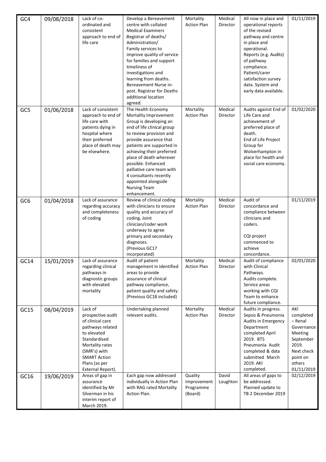| GC4             | 09/08/2018 | Lack of co-<br>ordinated and<br>consistent<br>approach to end of<br>life care                                                                                                                       | Develop a Bereavement<br>centre with collated<br><b>Medical Examiners</b><br>Registrar of deaths/<br>Administration/<br>Family services to<br>improve quality of service<br>for families and support<br>timeliness of<br>investigations and<br>learning from deaths.<br>Bereavement Nurse in-<br>post. Registrar for Deaths<br>additional location<br>agreed.                            | Mortality<br><b>Action Plan</b>                | Medical<br>Director | All now in place and<br>operational reports<br>of the revised<br>pathway and centre<br>in place and<br>operational.<br>Reports (e.g. Audits)<br>of pathway<br>compliance.<br>Patient/carer<br>satisfaction survey<br>data. System and<br>early data available. | 01/11/2019                                                                                                                   |
|-----------------|------------|-----------------------------------------------------------------------------------------------------------------------------------------------------------------------------------------------------|------------------------------------------------------------------------------------------------------------------------------------------------------------------------------------------------------------------------------------------------------------------------------------------------------------------------------------------------------------------------------------------|------------------------------------------------|---------------------|----------------------------------------------------------------------------------------------------------------------------------------------------------------------------------------------------------------------------------------------------------------|------------------------------------------------------------------------------------------------------------------------------|
| GC5             | 01/06/2018 | Lack of consistent<br>approach to end of<br>life care with<br>patients dying in<br>hospital where<br>their preferred<br>place of death may<br>be elsewhere.                                         | The Health Economy<br>Mortality Improvement<br>Group is developing an<br>end of life clinical group<br>to review provision and<br>provide assurance that<br>patients are supported in<br>achieving their preferred<br>place of death wherever<br>possible. Enhanced<br>palliative care team with<br>4 consultants recently<br>appointed alongside<br><b>Nursing Team</b><br>enhancement. | Mortality<br><b>Action Plan</b>                | Medical<br>Director | Audits against End of<br>Life Care and<br>achievement of<br>preferred place of<br>death.<br>End of Life Project<br>Group for<br>Wolverhampton in<br>place for health and<br>social care economy.                                                               | 01/02/2020                                                                                                                   |
| GC <sub>6</sub> | 01/04/2018 | Lack of assurance<br>regarding accuracy<br>and completeness<br>of coding                                                                                                                            | Review of clinical coding<br>with clinicians to ensure<br>quality and accuracy of<br>coding. Joint<br>clinician/coder work<br>underway to agree<br>primary and secondary<br>diagnoses.<br>(Previous GC17<br>incorporated)                                                                                                                                                                | Mortality<br><b>Action Plan</b>                | Medical<br>Director | Audit of<br>concordance and<br>compliance between<br>clinicians and<br>coders.<br>CQI project<br>commenced to<br>achieve<br>concordance.                                                                                                                       | 01/11/2019                                                                                                                   |
| GC14            | 15/01/2019 | Lack of assurance<br>regarding clinical<br>pathways in<br>diagnostic groups<br>with elevated<br>mortality                                                                                           | Audit of patient<br>management in identified<br>areas to provide<br>assurance of clinical<br>pathway compliance,<br>patient quality and safety.<br>(Previous GC18 included)                                                                                                                                                                                                              | Mortality<br><b>Action Plan</b>                | Medical<br>Director | Audit of compliance<br>with Clinical<br>Pathways.<br>Audits complete.<br>Service areas<br>working with CQI<br>Team to enhance<br>future compliance.                                                                                                            | 02/01/2020                                                                                                                   |
| GC15            | 08/04/2019 | Lack of<br>prospective audit<br>of clinical care<br>pathways related<br>to elevated<br>Standardised<br>Mortality rates<br>(SMR's) with<br><b>SMART Action</b><br>Plans (as per<br>External Report). | Undertaking planned<br>relevant audits.                                                                                                                                                                                                                                                                                                                                                  | Mortality<br><b>Action Plan</b>                | Medical<br>Director | Audits in progress.<br>Sepsis & Pneumonia<br>Audits in Emergency<br>Department<br>completed April<br>2019. BTS<br>Pneumonia Audit<br>completed & data<br>submitted March<br>2019. AKI<br>completed.                                                            | AKI<br>completed<br>- Renal<br>Governance<br>Meeting<br>September<br>2019.<br>Next check<br>point on<br>others<br>01/11/2019 |
| GC16            | 19/06/2019 | Areas of gap in<br>assurance<br>identified by Mr<br>Silverman in his<br>interim report of<br>March 2019.                                                                                            | Each gap now addressed<br>individually in Action Plan<br>with RAG rated Mortality<br>Action Plan.                                                                                                                                                                                                                                                                                        | Quality<br>Improvement<br>Programme<br>(Board) | David<br>Loughton   | All areas of gaps to<br>be addressed.<br>Planned update to<br>TB 2 December 2019                                                                                                                                                                               | 02/12/2019                                                                                                                   |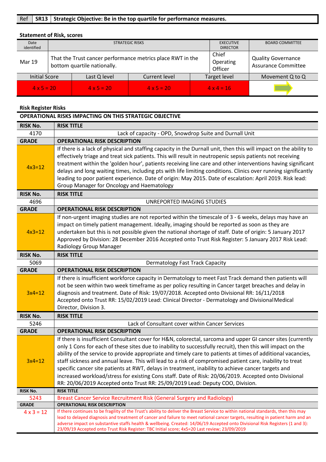# Ref **SR13** Strategic Objective: Be in the top quartile for performance measures.

# **Statement of Risk, scores**

| Date<br>identified   |  | <b>STRATEGIC RISKS</b>      | <b>EXECUTIVE</b><br><b>DIRECTOR</b>                        | <b>BOARD COMMITTEE</b>        |                                                         |                 |
|----------------------|--|-----------------------------|------------------------------------------------------------|-------------------------------|---------------------------------------------------------|-----------------|
| <b>Mar 19</b>        |  | bottom quartile nationally. | That the Trust cancer performance metrics place RWT in the | Chief<br>Operating<br>Officer | <b>Quality Governance</b><br><b>Assurance Committee</b> |                 |
| <b>Initial Score</b> |  | Last Q level                | Current level                                              |                               | Target level                                            | Movement Q to Q |
| $4 \times 5 = 20$    |  | $4 \times 5 = 20$           | $4 \times 5 = 20$                                          | $4 \times 4 = 16$             |                                                         |                 |

#### **Risk Register Risks**

|                   | <b>OPERATIONAL RISKS IMPACTING ON THIS STRATEGIC OBJECTIVE</b>                                                                                                                                                                                                                                                                                                                                                                                                                                                                                                                                                                                                                                                                                         |  |  |  |  |  |
|-------------------|--------------------------------------------------------------------------------------------------------------------------------------------------------------------------------------------------------------------------------------------------------------------------------------------------------------------------------------------------------------------------------------------------------------------------------------------------------------------------------------------------------------------------------------------------------------------------------------------------------------------------------------------------------------------------------------------------------------------------------------------------------|--|--|--|--|--|
| <b>RISK No.</b>   | <b>RISK TITLE</b>                                                                                                                                                                                                                                                                                                                                                                                                                                                                                                                                                                                                                                                                                                                                      |  |  |  |  |  |
| 4170              | Lack of capacity - OPD, Snowdrop Suite and Durnall Unit                                                                                                                                                                                                                                                                                                                                                                                                                                                                                                                                                                                                                                                                                                |  |  |  |  |  |
| <b>GRADE</b>      | <b>OPERATIONAL RISK DESCRIPTION</b>                                                                                                                                                                                                                                                                                                                                                                                                                                                                                                                                                                                                                                                                                                                    |  |  |  |  |  |
| $4x3=12$          | If there is a lack of physical and staffing capacity in the Durnall unit, then this will impact on the ability to<br>effectively triage and treat sick patients. This will result in neutropenic sepsis patients not receiving<br>treatment within the 'golden hour', patients receiving line care and other interventions having significant<br>delays and long waiting times, including pts with life limiting conditions. Clinics over running significantly<br>leading to poor patient experience. Date of origin: May 2015. Date of escalation: April 2019. Risk lead:<br>Group Manager for Oncology and Haematology                                                                                                                              |  |  |  |  |  |
| <b>RISK No.</b>   | <b>RISK TITLE</b>                                                                                                                                                                                                                                                                                                                                                                                                                                                                                                                                                                                                                                                                                                                                      |  |  |  |  |  |
| 4696              | UNREPORTED IMAGING STUDIES                                                                                                                                                                                                                                                                                                                                                                                                                                                                                                                                                                                                                                                                                                                             |  |  |  |  |  |
| <b>GRADE</b>      | <b>OPERATIONAL RISK DESCRIPTION</b>                                                                                                                                                                                                                                                                                                                                                                                                                                                                                                                                                                                                                                                                                                                    |  |  |  |  |  |
| $4x3=12$          | If non-urgent imaging studies are not reported within the timescale of 3 - 6 weeks, delays may have an<br>impact on timely patient management. Ideally, imaging should be reported as soon as they are<br>undertaken but this is not possible given the national shortage of staff. Date of origin: 5 January 2017<br>Approved by Division: 28 December 2016 Accepted onto Trust Risk Register: 5 January 2017 Risk Lead:<br>Radiology Group Manager                                                                                                                                                                                                                                                                                                   |  |  |  |  |  |
| <b>RISK No.</b>   | <b>RISK TITLE</b>                                                                                                                                                                                                                                                                                                                                                                                                                                                                                                                                                                                                                                                                                                                                      |  |  |  |  |  |
| 5069              | <b>Dermatology Fast Track Capacity</b>                                                                                                                                                                                                                                                                                                                                                                                                                                                                                                                                                                                                                                                                                                                 |  |  |  |  |  |
| <b>GRADE</b>      | <b>OPERATIONAL RISK DESCRIPTION</b>                                                                                                                                                                                                                                                                                                                                                                                                                                                                                                                                                                                                                                                                                                                    |  |  |  |  |  |
| $3x4=12$          | If there is insufficient workforce capacity in Dermatology to meet Fast Track demand then patients will<br>not be seen within two week timeframe as per policy resulting in Cancer target breaches and delay in<br>diagnosis and treatment. Date of Risk: 19/07/2018. Accepted onto Divisional RR: 16/11/2018<br>Accepted onto Trust RR: 15/02/2019 Lead: Clinical Director - Dermatology and Divisional Medical<br>Director, Division 3.                                                                                                                                                                                                                                                                                                              |  |  |  |  |  |
| <b>RISK No.</b>   | <b>RISK TITLE</b>                                                                                                                                                                                                                                                                                                                                                                                                                                                                                                                                                                                                                                                                                                                                      |  |  |  |  |  |
| 5246              | Lack of Consultant cover within Cancer Services                                                                                                                                                                                                                                                                                                                                                                                                                                                                                                                                                                                                                                                                                                        |  |  |  |  |  |
| <b>GRADE</b>      | <b>OPERATIONAL RISK DESCRIPTION</b>                                                                                                                                                                                                                                                                                                                                                                                                                                                                                                                                                                                                                                                                                                                    |  |  |  |  |  |
| $3x4=12$          | If there is insufficient Consultant cover for H&N, colorectal, sarcoma and upper GI cancer sites (currently<br>only 1 Cons for each of these sites due to inability to successfully recruit), then this will impact on the<br>ability of the service to provide appropriate and timely care to patients at times of additional vacancies,<br>staff sickness and annual leave. This will lead to a risk of compromised patient care, inability to treat<br>specific cancer site patients at RWT, delays in treatment, inability to achieve cancer targets and<br>increased workload/stress for existing Cons staff. Date of Risk: 20/06/2019. Accepted onto Divisional<br>RR: 20/06/2019 Accepted onto Trust RR: 25/09/2019 Lead: Deputy COO, Division. |  |  |  |  |  |
| <b>RISK No.</b>   | <b>RISK TITLE</b>                                                                                                                                                                                                                                                                                                                                                                                                                                                                                                                                                                                                                                                                                                                                      |  |  |  |  |  |
| 5243              | Breast Cancer Service Recruitment Risk (General Surgery and Radiology)                                                                                                                                                                                                                                                                                                                                                                                                                                                                                                                                                                                                                                                                                 |  |  |  |  |  |
| <b>GRADE</b>      | <b>OPERATIONAL RISK DESCRIPTION</b>                                                                                                                                                                                                                                                                                                                                                                                                                                                                                                                                                                                                                                                                                                                    |  |  |  |  |  |
| $4 \times 3 = 12$ | If there continues to be fragility of the Trust's ability to deliver the Breast Service to within national standards, then this may<br>lead to delayed diagnosis and treatment of cancer and failure to meet national cancer targets, resulting in patient harm and an<br>adverse impact on substantive staffs health & wellbeing. Created: 14/06/19 Accepted onto Divisional Risk Registers (1 and 3):<br>23/09/19 Accepted onto Trust Risk Register: TBC Initial score; 4x5=20 Last review; 23/09/2019                                                                                                                                                                                                                                               |  |  |  |  |  |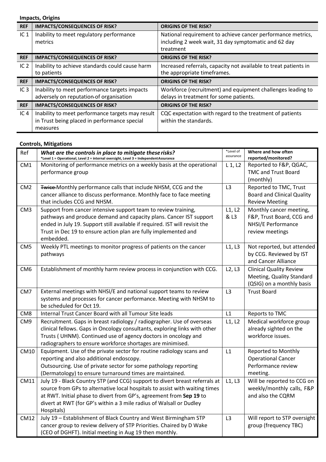### **Impacts, Origins**

| <b>REF</b>      | <b>IMPACTS/CONSEQUENCES OF RISK?</b>             | <b>ORIGINS OF THE RISK?</b>                                      |
|-----------------|--------------------------------------------------|------------------------------------------------------------------|
| IC <sub>1</sub> | Inability to meet regulatory performance         | National requirement to achieve cancer performance metrics,      |
|                 | metrics                                          | including 2 week wait, 31 day symptomatic and 62 day             |
|                 |                                                  | treatment                                                        |
| <b>REF</b>      | <b>IMPACTS/CONSEQUENCES OF RISK?</b>             | <b>ORIGINS OF THE RISK?</b>                                      |
| IC <sub>2</sub> | Inability to achieve standards could cause harm  | Increased referrals, capacity not available to treat patients in |
|                 | to patients                                      | the appropriate timeframes.                                      |
| <b>REF</b>      | <b>IMPACTS/CONSEQUENCES OF RISK?</b>             | <b>ORIGINS OF THE RISK?</b>                                      |
| IC <sub>3</sub> | Inability to meet performance targets impacts    | Workforce (recruitment) and equipment challenges leading to      |
|                 | adversely on reputation of organisation          | delays in treatment for some patients.                           |
| <b>REF</b>      | <b>IMPACTS/CONSEQUENCES OF RISK?</b>             | <b>ORIGINS OF THE RISK?</b>                                      |
| IC <sub>4</sub> | Inability to meet performance targets may result | CQC expectation with regard to the treatment of patients         |
|                 | in Trust being placed in performance special     | within the standards.                                            |
|                 | measures                                         |                                                                  |

| Ref             | What are the controls in place to mitigate these risks?<br>*Level 1 = Operational, Level 2 = internal oversight, Level 3 = IndependentAssurance | *Level of<br>assurance | Where and how often<br>reported/monitored? |
|-----------------|-------------------------------------------------------------------------------------------------------------------------------------------------|------------------------|--------------------------------------------|
| CM <sub>1</sub> | Monitoring of performance metrics on a weekly basis at the operational                                                                          | $L_1, L_2$             | Reported to F&P, QGAC,                     |
|                 | performance group                                                                                                                               |                        | <b>TMC and Trust Board</b>                 |
|                 |                                                                                                                                                 |                        | (monthly)                                  |
| CM <sub>2</sub> | Twice Monthly performance calls that include NHSM, CCG and the                                                                                  | L3                     | Reported to TMC, Trust                     |
|                 | cancer alliance to discuss performance. Monthly face to face meeting                                                                            |                        | <b>Board and Clinical Quality</b>          |
|                 | that includes CCG and NHSM.                                                                                                                     |                        | <b>Review Meeting</b>                      |
| CM <sub>3</sub> | Support from cancer intensive support team to review training,                                                                                  | L1, L2                 | Monthly cancer meeting,                    |
|                 | pathways and produce demand and capacity plans. Cancer IST support                                                                              | & L3                   | F&P, Trust Board, CCG and                  |
|                 | ended in July 19. Support still available if required. IST will revisit the                                                                     |                        | NHSI/E Performance                         |
|                 | Trust in Dec 19 to ensure action plan are fully implemented and                                                                                 |                        | review meetings                            |
|                 | embedded.                                                                                                                                       |                        |                                            |
| CM <sub>5</sub> | Weekly PTL meetings to monitor progress of patients on the cancer                                                                               | L1, L3                 | Not reported, but attended                 |
|                 | pathways                                                                                                                                        |                        | by CCG. Reviewed by IST                    |
|                 |                                                                                                                                                 |                        | and Cancer Alliance                        |
| CM <sub>6</sub> | Establishment of monthly harm review process in conjunction with CCG.                                                                           | L2, L3                 | <b>Clinical Quality Review</b>             |
|                 |                                                                                                                                                 |                        | Meeting, Quality Standard                  |
|                 |                                                                                                                                                 |                        | (QSIG) on a monthly basis                  |
| CM <sub>7</sub> | External meetings with NHSI/E and national support teams to review                                                                              | L3                     | <b>Trust Board</b>                         |
|                 | systems and processes for cancer performance. Meeting with NHSM to<br>be scheduled for Oct 19.                                                  |                        |                                            |
| CM <sub>8</sub> | Internal Trust Cancer Board with all Tumour Site leads                                                                                          | L1                     | Reports to TMC                             |
| CM <sub>9</sub> | Recruitment. Gaps in breast radiology / radiographer. Use of overseas                                                                           | L1, L2                 | Medical workforce group                    |
|                 | clinical fellows. Gaps in Oncology consultants, exploring links with other                                                                      |                        | already sighted on the                     |
|                 | Trusts (UHNM). Continued use of agency doctors in oncology and                                                                                  |                        | workforce issues.                          |
|                 | radiographers to ensure workforce shortages are minimised.                                                                                      |                        |                                            |
| CM10            | Equipment. Use of the private sector for routine radiology scans and                                                                            | L1                     | <b>Reported to Monthly</b>                 |
|                 | reporting and also additional endoscopy.                                                                                                        |                        | <b>Operational Cancer</b>                  |
|                 | Outsourcing. Use of private sector for some pathology reporting                                                                                 |                        | Performance review                         |
|                 | (Dermatology) to ensure turnaround times are maintained.                                                                                        |                        | meeting.                                   |
| CM11            | July 19 - Black Country STP (and CCG) support to divert breast referrals at                                                                     | L1, L3                 | Will be reported to CCG on                 |
|                 | source from GPs to alternative local hospitals to assist with waiting times                                                                     |                        | weekly/monthly calls, F&P                  |
|                 | at RWT. Initial phase to divert from GP's, agreement from Sep 19 to                                                                             |                        | and also the CQRM                          |
|                 | divert at RWT (for GP's within a 3 mile radius of Walsall or Dudley                                                                             |                        |                                            |
|                 | Hospitals)                                                                                                                                      |                        |                                            |
| <b>CM12</b>     | July 19 - Establishment of Black Country and West Birmingham STP                                                                                | L3                     | Will report to STP oversight               |
|                 | cancer group to review delivery of STP Priorities. Chaired by D Wake                                                                            |                        | group (frequency TBC)                      |
|                 | (CEO of DGHFT). Initial meeting in Aug 19 then monthly.                                                                                         |                        |                                            |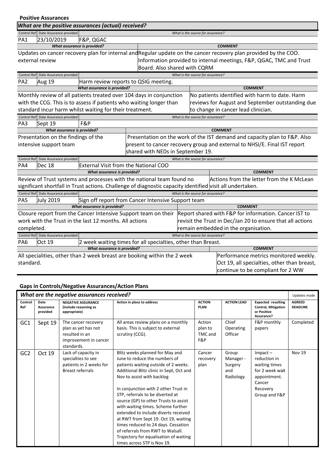|                 | <b>Positive Assurances</b>          |                                                                                                           |                                   |  |                                   |                                                                                                                  |  |
|-----------------|-------------------------------------|-----------------------------------------------------------------------------------------------------------|-----------------------------------|--|-----------------------------------|------------------------------------------------------------------------------------------------------------------|--|
|                 |                                     | What are the positive assurances (actual) received?                                                       |                                   |  |                                   |                                                                                                                  |  |
|                 | Control Ref Date Assurance provided |                                                                                                           | What is the source for assurance? |  |                                   |                                                                                                                  |  |
| PA <sub>1</sub> | 23/10/2019                          | F&P, QGAC                                                                                                 |                                   |  |                                   |                                                                                                                  |  |
|                 | What assurance is provided?         |                                                                                                           |                                   |  |                                   | <b>COMMENT</b>                                                                                                   |  |
|                 |                                     |                                                                                                           |                                   |  |                                   | Updates on cancer recovery plan for internal and Regular update on the cancer recovery plan provided by the COO. |  |
|                 | external review                     |                                                                                                           |                                   |  |                                   | Information provided to internal meetings, F&P, QGAC, TMC and Trust                                              |  |
|                 |                                     |                                                                                                           | Board. Also shared with CQRM      |  |                                   |                                                                                                                  |  |
|                 | Control Ref Date Assurance provided |                                                                                                           |                                   |  | What is the source for assurance? |                                                                                                                  |  |
| PA <sub>2</sub> | Aug 19                              | Harm review reports to QSIG meeting.                                                                      |                                   |  |                                   |                                                                                                                  |  |
|                 |                                     | What assurance is provided?                                                                               |                                   |  |                                   | <b>COMMENT</b>                                                                                                   |  |
|                 |                                     | Monthly review of all patients treated over 104 days in conjunction                                       |                                   |  |                                   | No patients identified with harm to date. Harm                                                                   |  |
|                 |                                     | with the CCG. This is to assess if patients who waiting longer than                                       |                                   |  |                                   | reviews for August and September outstanding due                                                                 |  |
|                 |                                     | standard incur harm whilst waiting for their treatment.                                                   |                                   |  |                                   | to change in cancer lead clinician.                                                                              |  |
|                 | Control Ref Date Assurance provided |                                                                                                           |                                   |  | What is the source for assurance? |                                                                                                                  |  |
| PA3             | Sept 19                             | F&P                                                                                                       |                                   |  |                                   |                                                                                                                  |  |
|                 | <b>What assurance is provided?</b>  |                                                                                                           |                                   |  |                                   | <b>COMMENT</b>                                                                                                   |  |
|                 | Presentation on the findings of the |                                                                                                           |                                   |  |                                   | Presentation on the work of the IST demand and capacity plan to F&P. Also                                        |  |
|                 | intensive support team              |                                                                                                           |                                   |  |                                   | present to cancer recovery group and external to NHSI/E. Final IST report                                        |  |
|                 |                                     |                                                                                                           | shared with NEDs in September 19. |  |                                   |                                                                                                                  |  |
|                 | Control Ref Date Assurance provided |                                                                                                           |                                   |  | What is the source for assurance? |                                                                                                                  |  |
| PA4             | <b>Dec 18</b>                       | <b>External Visit from the National COO</b>                                                               |                                   |  |                                   |                                                                                                                  |  |
|                 |                                     | What assurance is provided?                                                                               |                                   |  |                                   | <b>COMMENT</b>                                                                                                   |  |
|                 |                                     | Review of Trust systems and processes with the national team found no                                     |                                   |  |                                   | Actions from the letter from the K McLean                                                                        |  |
|                 |                                     | significant shortfall in Trust actions. Challenge of diagnostic capacity identified visit all undertaken. |                                   |  |                                   |                                                                                                                  |  |
|                 | Control Ref Date Assurance provided |                                                                                                           |                                   |  | What is the source for assurance? |                                                                                                                  |  |
| PA5             | July 2019                           | Sign off report from Cancer Intensive Support team                                                        |                                   |  |                                   |                                                                                                                  |  |
|                 |                                     | What assurance is provided?                                                                               |                                   |  |                                   | <b>COMMENT</b>                                                                                                   |  |
|                 |                                     | Closure report from the Cancer Intensive Support team on their                                            |                                   |  |                                   | Report shared with F&P for information. Cancer IST to                                                            |  |
|                 |                                     | work with the Trust in the last 12 months. All actions                                                    |                                   |  |                                   | revisit the Trust in Dec/Jan 20 to ensure that all actions                                                       |  |
| completed.      |                                     |                                                                                                           |                                   |  |                                   | remain embedded in the organisation.                                                                             |  |
|                 | Control Ref Date Assurance provided |                                                                                                           |                                   |  | What is the source for assurance? |                                                                                                                  |  |
| PA <sub>6</sub> | Oct 19                              | 2 week waiting times for all specialties, other than Breast.                                              |                                   |  |                                   |                                                                                                                  |  |
|                 |                                     | What assurance is provided?                                                                               |                                   |  |                                   | <b>COMMENT</b>                                                                                                   |  |
|                 |                                     | All specialities, other than 2 week breast are booking within the 2 week                                  |                                   |  |                                   | Performance metrics monitored weekly.                                                                            |  |
| standard.       |                                     |                                                                                                           |                                   |  |                                   | Oct 19, all specialties, other than breast,                                                                      |  |
|                 |                                     |                                                                                                           |                                   |  |                                   | continue to be compliant for 2 WW                                                                                |  |

# **Gaps in Controls/Negative Assurances/Action Plans**

|                 |                               |                                                                                                     |                                                                                                                                                                                                                                                                                                                                                                                                                                                                                                                                                                                    | What are the negative assurances received? |                                                   |                                                                                                                          |                                  |  |  |  |
|-----------------|-------------------------------|-----------------------------------------------------------------------------------------------------|------------------------------------------------------------------------------------------------------------------------------------------------------------------------------------------------------------------------------------------------------------------------------------------------------------------------------------------------------------------------------------------------------------------------------------------------------------------------------------------------------------------------------------------------------------------------------------|--------------------------------------------|---------------------------------------------------|--------------------------------------------------------------------------------------------------------------------------|----------------------------------|--|--|--|
| Control<br>Ref  | Date<br>Assurance<br>provided | <b>NEGATIVE ASSURANCE</b><br>(include reasoning as<br>appropriate)                                  | Action in place to address                                                                                                                                                                                                                                                                                                                                                                                                                                                                                                                                                         | <b>ACTION</b><br><b>PLAN</b>               | <b>ACTION LEAD</b>                                | <b>Expected resulting</b><br><b>Control, Mitigation</b><br>or Positive<br>Assurance?                                     | <b>AGREED</b><br><b>DEADLINE</b> |  |  |  |
| GC1             | Sept 19                       | The cancer recovery<br>plan as yet has not<br>resulted in an<br>improvement in cancer<br>standards. | All areas review plans on a monthly<br>basis. This is subject to external<br>scrutiny (CCG).                                                                                                                                                                                                                                                                                                                                                                                                                                                                                       | Action<br>plan to<br>TMC and<br>F&P        | Chief<br>Operating<br>Officer                     | F&P monthly<br>papers                                                                                                    | Completed                        |  |  |  |
| GC <sub>2</sub> | Oct 19                        | Lack of capacity in<br>specialties to see<br>patients in 2 weeks for<br><b>Breast referrals</b>     | Blitz weeks planned for May and<br>June to reduce the numbers of<br>patients waiting outside of 2 weeks.<br>Additional Blitz clinic in Sept, Oct and<br>Nov to assist with backlog<br>In conjunction with 2 other Trust in<br>STP, referrals to be diverted at<br>source (GP) to other Trusts to assist<br>with waiting times. Scheme further<br>extended to include diverts received<br>at RWT from Sept 19. Oct 19, waiting<br>times reduced to 24 days. Cessation<br>of referrals from RWT to Walsall.<br>Trajectory for equalisation of waiting<br>times across STP is Nov 19. | Cancer<br>recovery<br>plan                 | Group<br>Manager -<br>Surgery<br>and<br>Radiology | $Im$ pact $-$<br>reduction in<br>waiting times<br>for 2 week wait<br>appointment.<br>Cancer<br>Recovery<br>Group and F&P | <b>Nov 19</b>                    |  |  |  |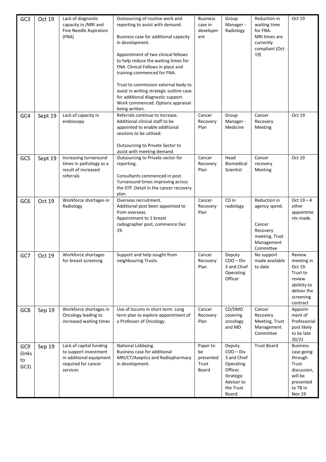| GC <sub>3</sub>             | Oct 19  | Lack of diagnostic<br>capacity in /MRI and<br>Fine Needle Aspiration<br>(FNA)                                  | Outsourcing of routine work and<br>reporting to assist with demand.<br>Business case for additional capacity<br>in development.<br>Appointment of two clinical fellows<br>to help reduce the waiting times for<br>FNA. Clinical Fellows in place and<br>training commenced for FNA.<br>Trust to commission external body to<br>assist in writing strategic outline case<br>for additional diagnostic support.<br>Work commenced. Options appraisal<br>being written. | <b>Business</b><br>case in<br>developm<br>ent | Group<br>Manager -<br>Radiology                                                                                 | Reduction in<br>waiting time<br>for FNA.<br>MRI times are<br>currently<br>compliant (Oct<br>19)  | Oct 19                                                                                                         |
|-----------------------------|---------|----------------------------------------------------------------------------------------------------------------|----------------------------------------------------------------------------------------------------------------------------------------------------------------------------------------------------------------------------------------------------------------------------------------------------------------------------------------------------------------------------------------------------------------------------------------------------------------------|-----------------------------------------------|-----------------------------------------------------------------------------------------------------------------|--------------------------------------------------------------------------------------------------|----------------------------------------------------------------------------------------------------------------|
| GC4                         | Sept 19 | Lack of capacity in<br>endoscopy                                                                               | Referrals continue to increase.<br>Additional clinical staff to be<br>appointed to enable additional<br>sessions to be utilised.<br>Outsourcing to Private Sector to<br>assist with meeting demand.                                                                                                                                                                                                                                                                  | Cancer<br>Recovery<br>Plan                    | Group<br>Manager -<br>Medicine                                                                                  | Cancer<br>Recovery<br>Meeting                                                                    | Oct 19                                                                                                         |
| GC5                         | Sept 19 | Increasing turnaround<br>times in pathology as a<br>result of increased<br>referrals                           | Outsourcing to Private sector for<br>reporting.<br>Consultants commenced in post.<br>Turnaround times improving across<br>the STP. Detail in the cancer recovery<br>plan.                                                                                                                                                                                                                                                                                            | Cancer<br>Recovery<br>Plan                    | Head<br><b>Biomedical</b><br>Scientist                                                                          | Cancer<br>recovery<br>Meeting                                                                    | Oct 19                                                                                                         |
| GC <sub>6</sub>             | Oct 19  | Workforce shortages in<br>Radiology                                                                            | Overseas recruitment.<br>Additional post been appointed to<br>from overseas.<br>Appointment to 1 breast<br>radiographer post, commence Dec<br>19.                                                                                                                                                                                                                                                                                                                    | Cancer<br>Recovery<br>Plan                    | CD in<br>radiology                                                                                              | Reduction in<br>agency spend.<br>Cancer<br>Recovery<br>meeting. Trust<br>Management<br>Committee | $Oct 19 - 4$<br>other<br>appointme<br>nts made.                                                                |
| GC7                         | Oct 19  | Workforce shortages<br>for breast screening                                                                    | Support and help sought from<br>neighbouring Trusts.                                                                                                                                                                                                                                                                                                                                                                                                                 | Cancer<br>Recovery<br>Plan                    | Deputy<br>$COO - Div$<br>3 and Chief<br>Operating<br>Officer                                                    | No support<br>made available<br>to date                                                          | Review<br>meeting in<br>Oct 19.<br>Trust to<br>review<br>abilitity to<br>deliver the<br>screening<br>contract  |
| GC8                         | Sep 19  | Workforce shortages in<br>Oncology leading to<br>increased waiting times                                       | Use of locums in short term. Long<br>term plan to explore appointment of<br>a Professor of Oncology.                                                                                                                                                                                                                                                                                                                                                                 | Cancer<br>Recovery<br>Plan                    | CD/DMD<br>covering<br>oncology<br>and MD                                                                        | Cancer<br>Recovery<br>Meeting, Trust<br>Management<br>Committee                                  | Appoint-<br>ment of<br>Professorial<br>post likely<br>to be late<br>20/21                                      |
| GC9<br>(links<br>to<br>GC3) | Sep 19  | Lack of capital funding<br>to support investment<br>in additional equipment<br>required for cancer<br>services | National Lobbying.<br>Business case for additional<br>MRI/CT/Aseptics and Radiopharmacy<br>in development.                                                                                                                                                                                                                                                                                                                                                           | Paper to<br>be<br>presented<br>Trust<br>Board | Deputy<br>$COO - Div$<br>3 and Chief<br>Operating<br>Officer.<br>Strategic<br>Advisor to<br>the Trust<br>Board. | <b>Trust Board</b>                                                                               | <b>Business</b><br>case going<br>through<br>Trust<br>discussion,<br>will be<br>presented<br>to TB in<br>Nov 19 |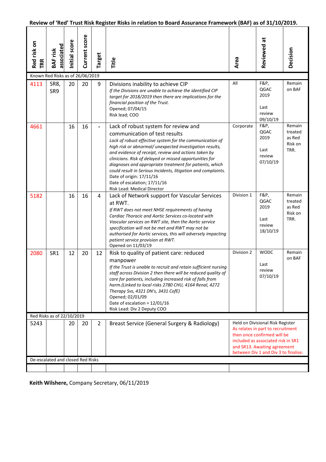## **Review of 'Red' Trust Risk Register Risks in relation to Board Assurance Framework (BAF) as of 31/10/2019.**

| Red risk on<br>TRR | associated<br><b>BAF</b> risk     | Initial score | Current score | Target                   | Title                                                                                                                                                                                                                                                                                                                                                                                                                                                                                                                                          | Area                                                                                                                                                                                                               | Reviewed at                                               | Decision                                       |
|--------------------|-----------------------------------|---------------|---------------|--------------------------|------------------------------------------------------------------------------------------------------------------------------------------------------------------------------------------------------------------------------------------------------------------------------------------------------------------------------------------------------------------------------------------------------------------------------------------------------------------------------------------------------------------------------------------------|--------------------------------------------------------------------------------------------------------------------------------------------------------------------------------------------------------------------|-----------------------------------------------------------|------------------------------------------------|
|                    | Known Red Risks as of 26/06/2019  |               |               |                          |                                                                                                                                                                                                                                                                                                                                                                                                                                                                                                                                                |                                                                                                                                                                                                                    |                                                           |                                                |
| 4113               | SR8,<br>SR9                       | 20            | 20            | 9                        | Divisions inability to achieve CIP<br>If the Divisions are unable to achieve the identified CIP<br>target for 2018/2019 then there are implications for the<br>financial position of the Trust.<br>Opened; 07/04/15<br>Risk lead; COO                                                                                                                                                                                                                                                                                                          | All                                                                                                                                                                                                                | F&P,<br><b>QGAC</b><br>2019<br>Last<br>review<br>09/10/19 | Remain<br>on BAF                               |
| 4661               |                                   | 16            | 16            | $\overline{\phantom{0}}$ | Lack of robust system for review and<br>communication of test results<br>Lack of robust effective system for the communication of<br>high risk or abnormal/ unexpected investigation results,<br>and evidence of receipt, review and actions taken by<br>clinicians. Risk of delayed or missed opportunities for<br>diagnoses and appropriate treatment for patients, which<br>could result in Serious Incidents, litigation and complaints.<br>Date of origin: 17/11/16<br>Date of escalation; 17/11/16<br><b>Risk Lead: Medical Director</b> | Corporate                                                                                                                                                                                                          | F&P,<br>QGAC<br>2019<br>Last<br>review<br>07/10/19        | Remain<br>treated<br>as Red<br>Risk on<br>TRR. |
| 5182               |                                   | 16            | 16            | 4                        | Lack of Network support for Vascular Services<br>at RWT.<br>If RWT does not meet NHSE requirements of having<br>Cardiac Thoracic and Aortic Services co-located with<br>Vascular services on RWT site, then the Aortic service<br>specification will not be met and RWT may not be<br>authorised for Aortic services, this will adversely impacting<br>patient service provision at RWT.<br>Opened on 11/03/19                                                                                                                                 | Division 1                                                                                                                                                                                                         | F&P,<br>QGAC<br>2019<br>Last<br>review<br>18/10/19        | Remain<br>treated<br>as Red<br>Risk on<br>TRR. |
| 2080               | SR1                               | 12            | 20            | 12                       | Risk to quality of patient care: reduced<br>manpower<br>If the Trust is unable to recruit and retain sufficient nursing<br>staff across Division 2 then there will be reduced quality of<br>care for patients, including increased risk of falls from<br>harm.(Linked to local risks 2780 CHU, 4164 Renal, 4272<br>Therapy Svs, 4321 DN's, 3431 CofE)<br>Opened; 02/01/09<br>Date of escalation = $12/01/16$<br>Risk Lead: Div 2 Deputy COO                                                                                                    | Division 2                                                                                                                                                                                                         | <b>WODC</b><br>Last<br>review<br>07/10/19                 | Remain<br>on BAF                               |
|                    | Red Risks as of 22/10/2019        |               |               |                          |                                                                                                                                                                                                                                                                                                                                                                                                                                                                                                                                                |                                                                                                                                                                                                                    |                                                           |                                                |
| 5243               |                                   | 20            | 20            | $\overline{2}$           | Breast Service (General Surgery & Radiology)                                                                                                                                                                                                                                                                                                                                                                                                                                                                                                   | Held on Divisional Risk Register<br>As relates in part to recruitment<br>then once confirmed will be<br>included as associated risk in SR1<br>and SR13. Awaiting agreement<br>between Div 1 and Div 3 to finalise. |                                                           |                                                |
|                    | De-escalated and closed Red Risks |               |               |                          |                                                                                                                                                                                                                                                                                                                                                                                                                                                                                                                                                |                                                                                                                                                                                                                    |                                                           |                                                |
|                    |                                   |               |               |                          |                                                                                                                                                                                                                                                                                                                                                                                                                                                                                                                                                |                                                                                                                                                                                                                    |                                                           |                                                |

**Keith Wilshere,** Company Secretary, 06/11/2019